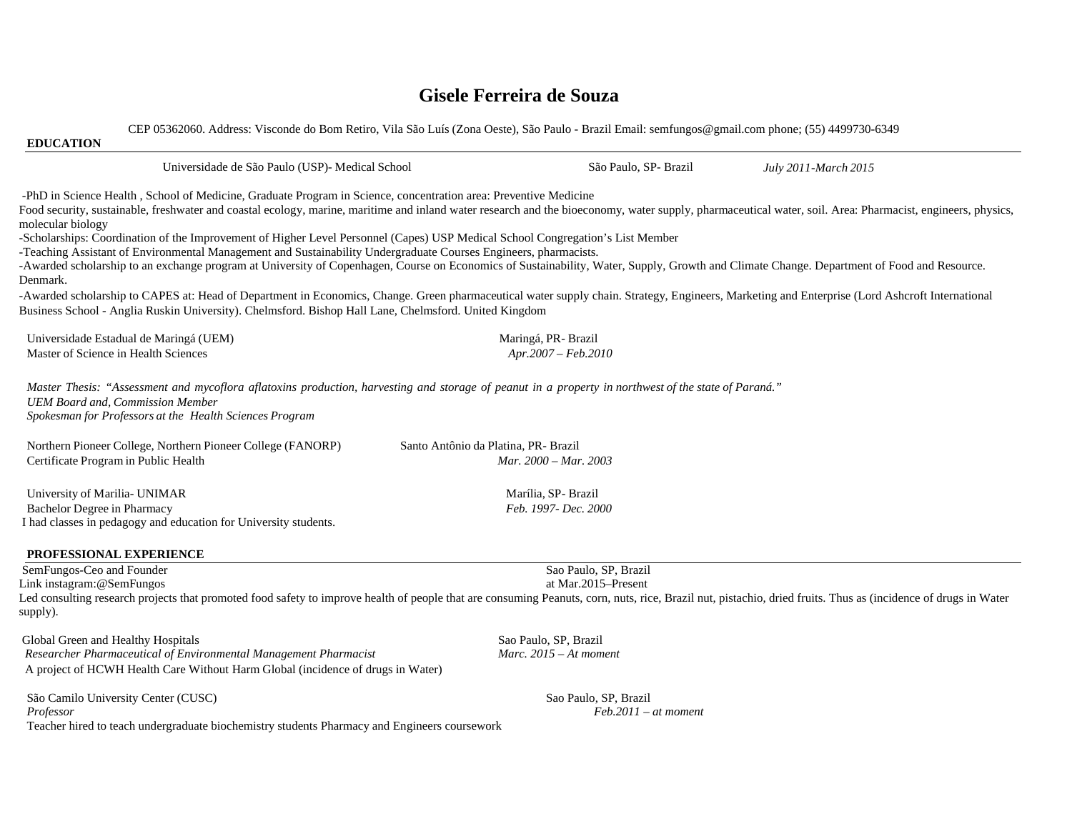## **Gisele Ferreira de Souza**

CEP 05362060. Address: Visconde do Bom Retiro, Vila São Luís (Zona Oeste), São Paulo - Brazil Email: semfungos@gmail.com phone; (55) 4499730-6349 **EDUCATION** Universidade de São Paulo (USP)- Medical School São Paulo, SP- Brazil *July 2011-March 2015* -PhD in Science Health , School of Medicine, Graduate Program in Science, concentration area: Preventive Medicine Food security, sustainable, freshwater and coastal ecology, marine, maritime and inland water research and the bioeconomy, water supply, pharmaceutical water, soil. Area: Pharmacist, engineers, physics, molecular biology -Scholarships: Coordination of the Improvement of Higher Level Personnel (Capes) USP Medical School Congregation's List Member -Teaching Assistant of Environmental Management and Sustainability Undergraduate Courses Engineers, pharmacists. -Awarded scholarship to an exchange program at University of Copenhagen, Course on Economics of Sustainability, Water, Supply, Growth and Climate Change. Department of Food and Resource. Denmark. -Awarded scholarship to CAPES at: Head of Department in Economics, Change. Green pharmaceutical water supply chain. Strategy, Engineers, Marketing and Enterprise (Lord Ashcroft International Business School - Anglia Ruskin University). Chelmsford. Bishop Hall Lane, Chelmsford. United Kingdom Universidade Estadual de Maringá (UEM) Maringá, PR- Brazil Master of Science in Health Sciences *Apr.2007 – Feb.2010 Master Thesis: "Assessment and mycoflora aflatoxins production, harvesting and storage of peanut in a property in northwest of the state of Paraná." UEM Board and, Commission Member Spokesman for Professors at the Health Sciences Program* Northern Pioneer College, Northern Pioneer College (FANORP) Santo Antônio da Platina, PR- Brazil Certificate Program in Public Health *Mar. 2000 – Mar. 2003* University of Marilia- UNIMAR Marília, SP- Brazil Bachelor Degree in Pharmacy *Feb. 1997- Dec. 2000* I had classes in pedagogy and education for University students. **PROFESSIONAL EXPERIENCE** SemFungos-Ceo and Founder Sao Paulo, SP, Brazil Link instagram:@SemFungos at Mar.2015–Present Led consulting research projects that promoted food safety to improve health of people that are consuming Peanuts, corn, nuts, rice, Brazil nut, pistachio, dried fruits. Thus as (incidence of drugs in Water supply). Global Green and Healthy Hospitals Sao Paulo, SP, Brazil  *Researcher Pharmaceutical of Environmental Management Pharmacist Marc. 2015 – At moment*  A project of HCWH Health Care Without Harm Global (incidence of drugs in Water)

São Camilo University Center (CUSC) Sao Paulo, SP, Brazil *Professor Feb.2011 – at moment*  Teacher hired to teach undergraduate biochemistry students Pharmacy and Engineers coursework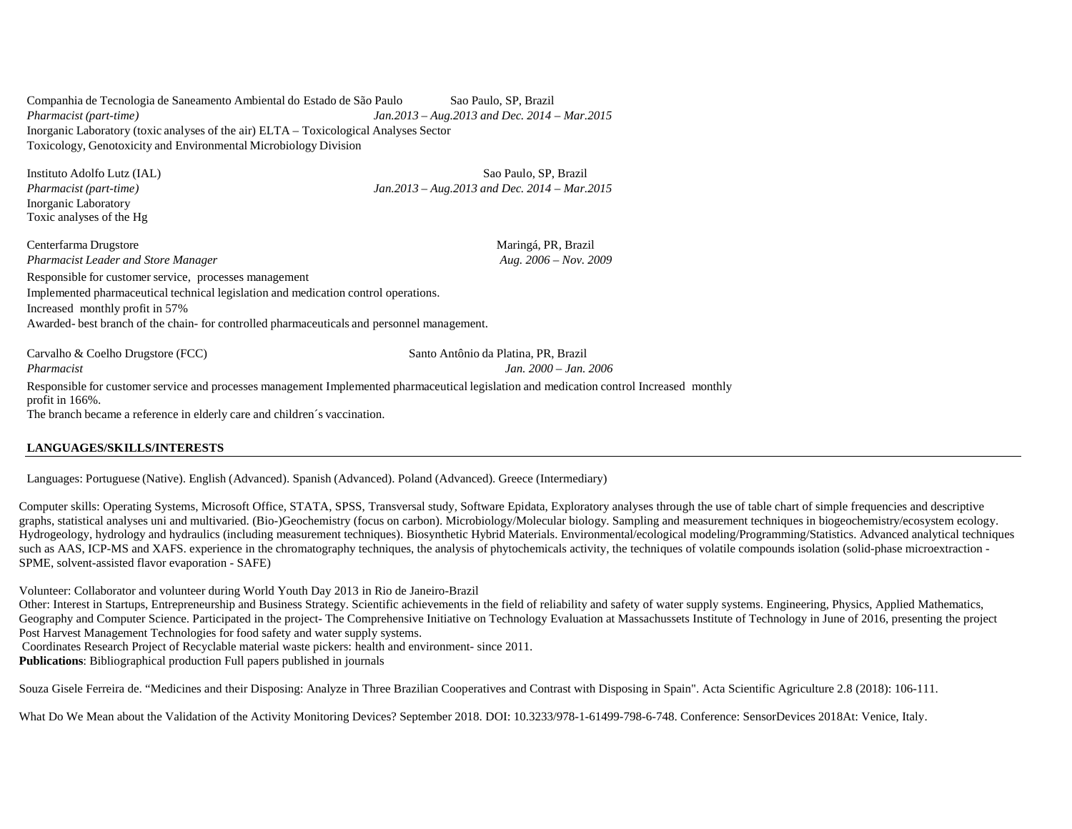Companhia de Tecnologia de Saneamento Ambiental do Estado de São Paulo Sao Paulo, SP, Brazil *Pharmacist (part-time) Jan.2013 – Aug.2013 and Dec. 2014 – Mar.2015* Inorganic Laboratory (toxic analyses of the air) ELTA – Toxicological Analyses Sector Toxicology, Genotoxicity and Environmental Microbiology Division

Inorganic Laboratory Toxic analyses of the Hg

Instituto Adolfo Lutz (IAL) Sao Paulo, SP, Brazil *Pharmacist (part-time) Jan.2013 – Aug.2013 and Dec. 2014 – Mar.2015*

Centerfarma Drugstore **Maringá, PR, Brazil** Maringá, PR, Brazil *Pharmacist Leader and Store Manager* Aug. 2006 – Nov. 2009 *Aug.* 2006 – Nov. 2009 Responsible for customer service, processes management Implemented pharmaceutical technical legislation and medication control operations. Increased monthly profit in 57% Awarded- best branch of the chain- for controlled pharmaceuticals and personnel management.

Carvalho & Coelho Drugstore (FCC) Santo Antônio da Platina, PR, Brazil

*Pharmacist Jan. 2000 – Jan. 2006*

Responsible for customer service and processes management Implemented pharmaceutical legislation and medication control Increased monthly profit in 166%. The branch became a reference in elderly care and children´s vaccination.

#### **LANGUAGES/SKILLS/INTERESTS**

Languages: Portuguese (Native). English (Advanced). Spanish (Advanced). Poland (Advanced). Greece (Intermediary)

Computer skills: Operating Systems, Microsoft Office, STATA, SPSS, Transversal study, Software Epidata, Exploratory analyses through the use of table chart of simple frequencies and descriptive graphs, statistical analyses uni and multivaried. (Bio-)Geochemistry (focus on carbon). Microbiology/Molecular biology. Sampling and measurement techniques in biogeochemistry/ecosystem ecology. Hydrogeology, hydrology and hydraulics (including measurement techniques). Biosynthetic Hybrid Materials. Environmental/ecological modeling/Programming/Statistics. Advanced analytical techniques such as AAS, ICP-MS and XAFS. experience in the chromatography techniques, the analysis of phytochemicals activity, the techniques of volatile compounds isolation (solid-phase microextraction -SPME, solvent-assisted flavor evaporation - SAFE)

Volunteer: Collaborator and volunteer during World Youth Day 2013 in Rio de Janeiro-Brazil

Other: Interest in Startups, Entrepreneurship and Business Strategy. Scientific achievements in the field of reliability and safety of water supply systems. Engineering, Physics, Applied Mathematics, Geography and Computer Science. Participated in the project- The Comprehensive Initiative on Technology Evaluation at Massachussets Institute of Technology in June of 2016, presenting the project Post Harvest Management Technologies for food safety and water supply systems.

Coordinates Research Project of Recyclable material waste pickers: health and environment- since 2011.

**Publications**: Bibliographical production Full papers published in journals

Souza Gisele Ferreira de. "Medicines and their Disposing: Analyze in Three Brazilian Cooperatives and Contrast with Disposing in Spain". Acta Scientific Agriculture 2.8 (2018): 106-111.

What Do We Mean about the Validation of the Activity Monitoring Devices? September 2018. DOI: 10.3233/978-1-61499-798-6-748. Conference: SensorDevices 2018At: Venice, Italy.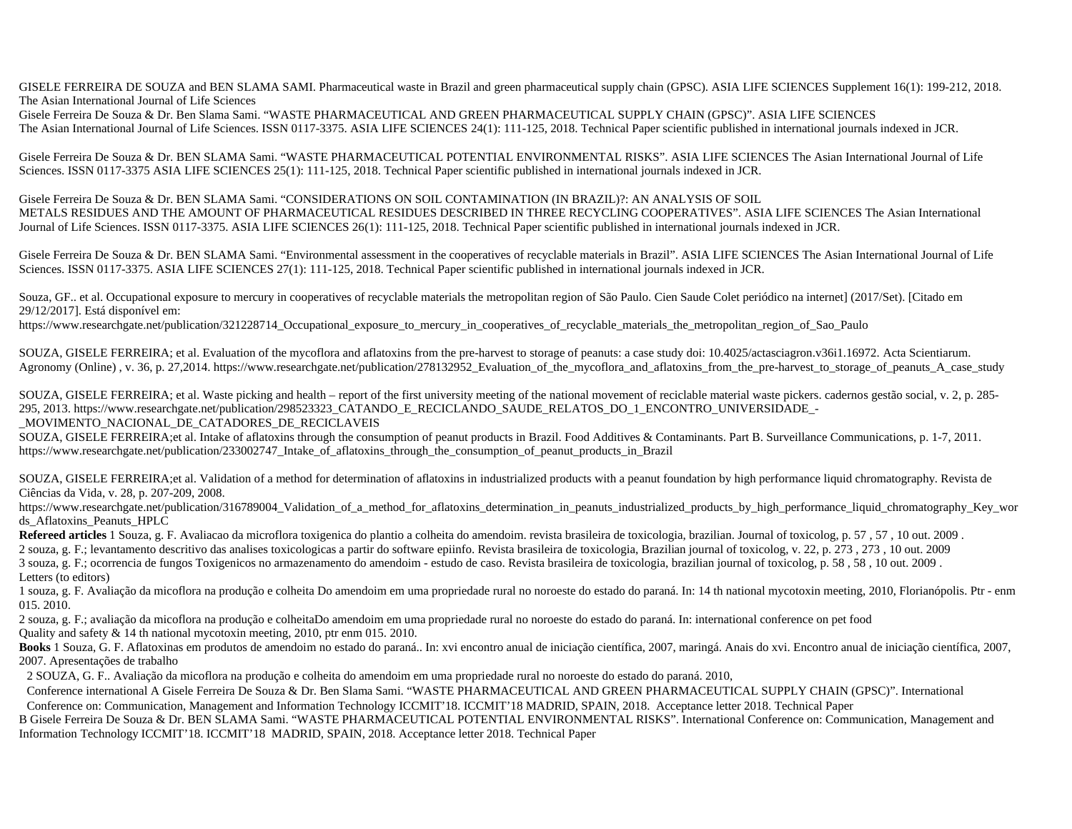GISELE FERREIRA DE SOUZA and BEN SLAMA SAMI. Pharmaceutical waste in Brazil and green pharmaceutical supply chain (GPSC). ASIA LIFE SCIENCES Supplement 16(1): 199-212, 2018. The Asian International Journal of Life Sciences

Gisele Ferreira De Souza & Dr. Ben Slama Sami. "WASTE PHARMACEUTICAL AND GREEN PHARMACEUTICAL SUPPLY CHAIN (GPSC)". ASIA LIFE SCIENCES The Asian International Journal of Life Sciences. ISSN 0117-3375. ASIA LIFE SCIENCES 24(1): 111-125, 2018. Technical Paper scientific published in international journals indexed in JCR.

Gisele Ferreira De Souza & Dr. BEN SLAMA Sami. "WASTE PHARMACEUTICAL POTENTIAL ENVIRONMENTAL RISKS". ASIA LIFE SCIENCES The Asian International Journal of Life Sciences. ISSN 0117-3375 ASIA LIFE SCIENCES 25(1): 111-125, 2018. Technical Paper scientific published in international journals indexed in JCR.

Gisele Ferreira De Souza & Dr. BEN SLAMA Sami. "CONSIDERATIONS ON SOIL CONTAMINATION (IN BRAZIL)?: AN ANALYSIS OF SOIL METALS RESIDUES AND THE AMOUNT OF PHARMACEUTICAL RESIDUES DESCRIBED IN THREE RECYCLING COOPERATIVES". ASIA LIFE SCIENCES The Asian International Journal of Life Sciences. ISSN 0117-3375. ASIA LIFE SCIENCES 26(1): 111-125, 2018. Technical Paper scientific published in international journals indexed in JCR.

Gisele Ferreira De Souza & Dr. BEN SLAMA Sami. "Environmental assessment in the cooperatives of recyclable materials in Brazil". ASIA LIFE SCIENCES The Asian International Journal of Life Sciences. ISSN 0117-3375. ASIA LIFE SCIENCES 27(1): 111-125, 2018. Technical Paper scientific published in international journals indexed in JCR.

Souza, GF.. et al. Occupational exposure to mercury in cooperatives of recyclable materials the metropolitan region of São Paulo. Cien Saude Colet periódico na internet] (2017/Set). [Citado em 29/12/2017]. Está disponível em:

https://www.researchgate.net/publication/321228714\_Occupational\_exposure\_to\_mercury\_in\_cooperatives\_of\_recyclable\_materials\_the\_metropolitan\_region\_of\_Sao\_Paulo

SOUZA, GISELE FERREIRA; et al. Evaluation of the mycoflora and aflatoxins from the pre-harvest to storage of peanuts: a case study doi: 10.4025/actasciagron.v36i1.16972. Acta Scientiarum. Agronomy (Online), v. 36, p. 27,2014. https://www.researchgate.net/publication/278132952\_Evaluation\_of\_the\_mycoflora\_and\_aflatoxins\_from\_the\_pre-harvest\_to\_storage\_of\_peanuts\_A\_case\_study

SOUZA, GISELE FERREIRA; et al. Waste picking and health – report of the first university meeting of the national movement of reciclable material waste pickers. cadernos gestão social, v. 2, p. 285- 295, 2013. https://www.researchgate.net/publication/298523323\_CATANDO\_E\_RECICLANDO\_SAUDE\_RELATOS\_DO\_1\_ENCONTRO\_UNIVERSIDADE\_-\_MOVIMENTO\_NACIONAL\_DE\_CATADORES\_DE\_RECICLAVEIS

SOUZA, GISELE FERREIRA;et al. Intake of aflatoxins through the consumption of peanut products in Brazil. Food Additives & Contaminants. Part B. Surveillance Communications, p. 1-7, 2011. https://www.researchgate.net/publication/233002747 Intake of aflatoxins through the consumption of peanut products in Brazil

SOUZA, GISELE FERREIRA;et al. Validation of a method for determination of aflatoxins in industrialized products with a peanut foundation by high performance liquid chromatography. Revista de Ciências da Vida, v. 28, p. 207-209, 2008.

https://www.researchgate.net/publication/316789004\_Validation\_of\_a\_method\_for\_aflatoxins\_determination\_in\_peanuts\_industrialized\_products\_by\_high\_performance\_liquid\_chromatography\_Key\_wor ds\_Aflatoxins\_Peanuts\_HPLC

**Refereed articles** 1 Souza, g. F. Avaliacao da microflora toxigenica do plantio a colheita do amendoim. revista brasileira de toxicologia, brazilian. Journal of toxicolog, p. 57 , 57 , 10 out. 2009 .

2 souza, g. F.; levantamento descritivo das analises toxicologicas a partir do software epiinfo. Revista brasileira de toxicologia, Brazilian journal of toxicolog, v. 22, p. 273 , 273 , 10 out. 2009 3 souza, g. F.; ocorrencia de fungos Toxigenicos no armazenamento do amendoim - estudo de caso. Revista brasileira de toxicologia, brazilian journal of toxicolog, p. 58 , 58 , 10 out. 2009 . Letters (to editors)

1 souza, g. F. Avaliação da micoflora na produção e colheita Do amendoim em uma propriedade rural no noroeste do estado do paraná. In: 14 th national mycotoxin meeting, 2010, Florianópolis. Ptr - enm 015. 2010.

2 souza, g. F.; avaliação da micoflora na produção e colheitaDo amendoim em uma propriedade rural no noroeste do estado do paraná. In: international conference on pet food Quality and safety & 14 th national mycotoxin meeting, 2010, ptr enm 015. 2010.

**Books** 1 Souza, G. F. Aflatoxinas em produtos de amendoim no estado do paraná.. In: xvi encontro anual de iniciação científica, 2007, maringá. Anais do xvi. Encontro anual de iniciação científica, 2007, 2007. Apresentações de trabalho

2 SOUZA, G. F.. Avaliação da micoflora na produção e colheita do amendoim em uma propriedade rural no noroeste do estado do paraná. 2010,

Conference international A Gisele Ferreira De Souza & Dr. Ben Slama Sami. "WASTE PHARMACEUTICAL AND GREEN PHARMACEUTICAL SUPPLY CHAIN (GPSC)". International Conference on: Communication, Management and Information Technology ICCMIT'18. ICCMIT'18 MADRID, SPAIN, 2018. Acceptance letter 2018. Technical Paper

B Gisele Ferreira De Souza & Dr. BEN SLAMA Sami. "WASTE PHARMACEUTICAL POTENTIAL ENVIRONMENTAL RISKS". International Conference on: Communication, Management and Information Technology ICCMIT'18. ICCMIT'18 MADRID, SPAIN, 2018. Acceptance letter 2018. Technical Paper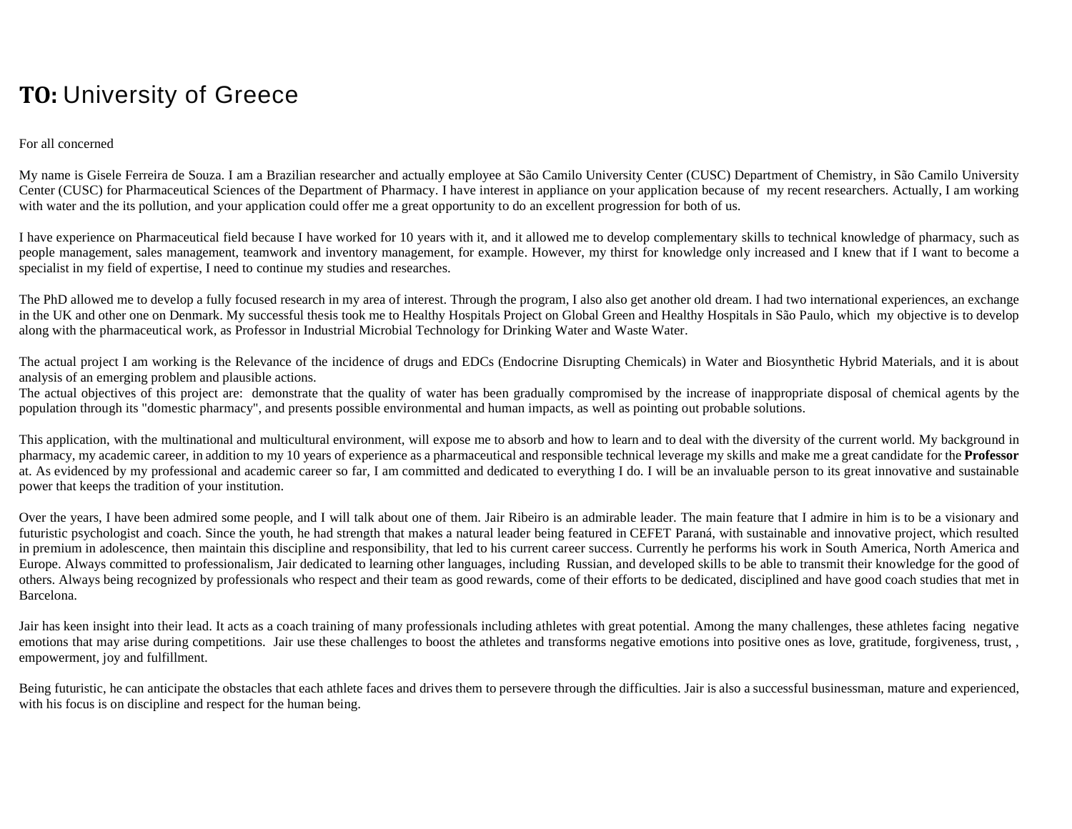# **TO:** University of Greece

#### For all concerned

My name is Gisele Ferreira de Souza. I am a Brazilian researcher and actually employee at São Camilo University Center (CUSC) Department of Chemistry, in São Camilo University Center (CUSC) for Pharmaceutical Sciences of the Department of Pharmacy. I have interest in appliance on your application because of my recent researchers. Actually, I am working with water and the its pollution, and your application could offer me a great opportunity to do an excellent progression for both of us.

I have experience on Pharmaceutical field because I have worked for 10 years with it, and it allowed me to develop complementary skills to technical knowledge of pharmacy, such as people management, sales management, teamwork and inventory management, for example. However, my thirst for knowledge only increased and I knew that if I want to become a specialist in my field of expertise, I need to continue my studies and researches.

The PhD allowed me to develop a fully focused research in my area of interest. Through the program, I also also get another old dream. I had two international experiences, an exchange in the UK and other one on Denmark. My successful thesis took me to Healthy Hospitals Project on Global Green and Healthy Hospitals in São Paulo, which my objective is to develop along with the pharmaceutical work, as Professor in Industrial Microbial Technology for Drinking Water and Waste Water.

The actual project I am working is the Relevance of the incidence of drugs and EDCs (Endocrine Disrupting Chemicals) in Water and Biosynthetic Hybrid Materials, and it is about analysis of an emerging problem and plausible actions.

The actual objectives of this project are: demonstrate that the quality of water has been gradually compromised by the increase of inappropriate disposal of chemical agents by the population through its "domestic pharmacy", and presents possible environmental and human impacts, as well as pointing out probable solutions.

This application, with the multinational and multicultural environment, will expose me to absorb and how to learn and to deal with the diversity of the current world. My background in pharmacy, my academic career, in addition to my 10 years of experience as a pharmaceutical and responsible technical leverage my skills and make me a great candidate for the **Professor** at. As evidenced by my professional and academic career so far, I am committed and dedicated to everything I do. I will be an invaluable person to its great innovative and sustainable power that keeps the tradition of your institution.

Over the years, I have been admired some people, and I will talk about one of them. Jair Ribeiro is an admirable leader. The main feature that I admire in him is to be a visionary and futuristic psychologist and coach. Since the youth, he had strength that makes a natural leader being featured in CEFET Paraná, with sustainable and innovative project, which resulted in premium in adolescence, then maintain this discipline and responsibility, that led to his current career success. Currently he performs his work in South America, North America and Europe. Always committed to professionalism, Jair dedicated to learning other languages, including Russian, and developed skills to be able to transmit their knowledge for the good of others. Always being recognized by professionals who respect and their team as good rewards, come of their efforts to be dedicated, disciplined and have good coach studies that met in Barcelona.

Jair has keen insight into their lead. It acts as a coach training of many professionals including athletes with great potential. Among the many challenges, these athletes facing negative emotions that may arise during competitions. Jair use these challenges to boost the athletes and transforms negative emotions into positive ones as love, gratitude, forgiveness, trust,, empowerment, joy and fulfillment.

Being futuristic, he can anticipate the obstacles that each athlete faces and drives them to persevere through the difficulties. Jair is also a successful businessman, mature and experienced, with his focus is on discipline and respect for the human being.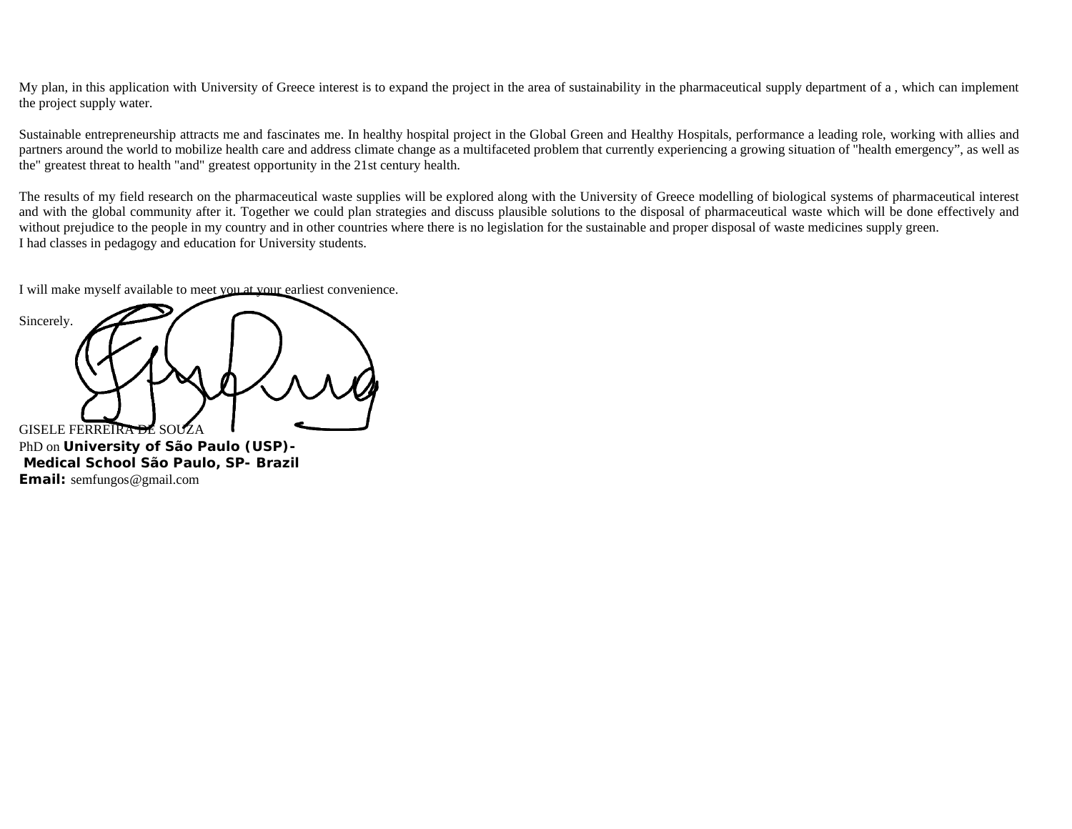My plan, in this application with University of Greece interest is to expand the project in the area of sustainability in the pharmaceutical supply department of a , which can implement the project supply water.

Sustainable entrepreneurship attracts me and fascinates me. In healthy hospital project in the Global Green and Healthy Hospitals, performance a leading role, working with allies and partners around the world to mobilize health care and address climate change as a multifaceted problem that currently experiencing a growing situation of "health emergency", as well as the" greatest threat to health "and" greatest opportunity in the 21st century health.

The results of my field research on the pharmaceutical waste supplies will be explored along with the University of Greece modelling of biological systems of pharmaceutical interest and with the global community after it. Together we could plan strategies and discuss plausible solutions to the disposal of pharmaceutical waste which will be done effectively and without prejudice to the people in my country and in other countries where there is no legislation for the sustainable and proper disposal of waste medicines supply green. I had classes in pedagogy and education for University students.

I will make myself available to meet you at your earliest convenience.

Sincerely. GISELE FERREIRA DE SOU

PhD on **University of São Paulo (USP)- Medical School** *São Paulo, SP- Brazil Email:* semfungos@gmail.com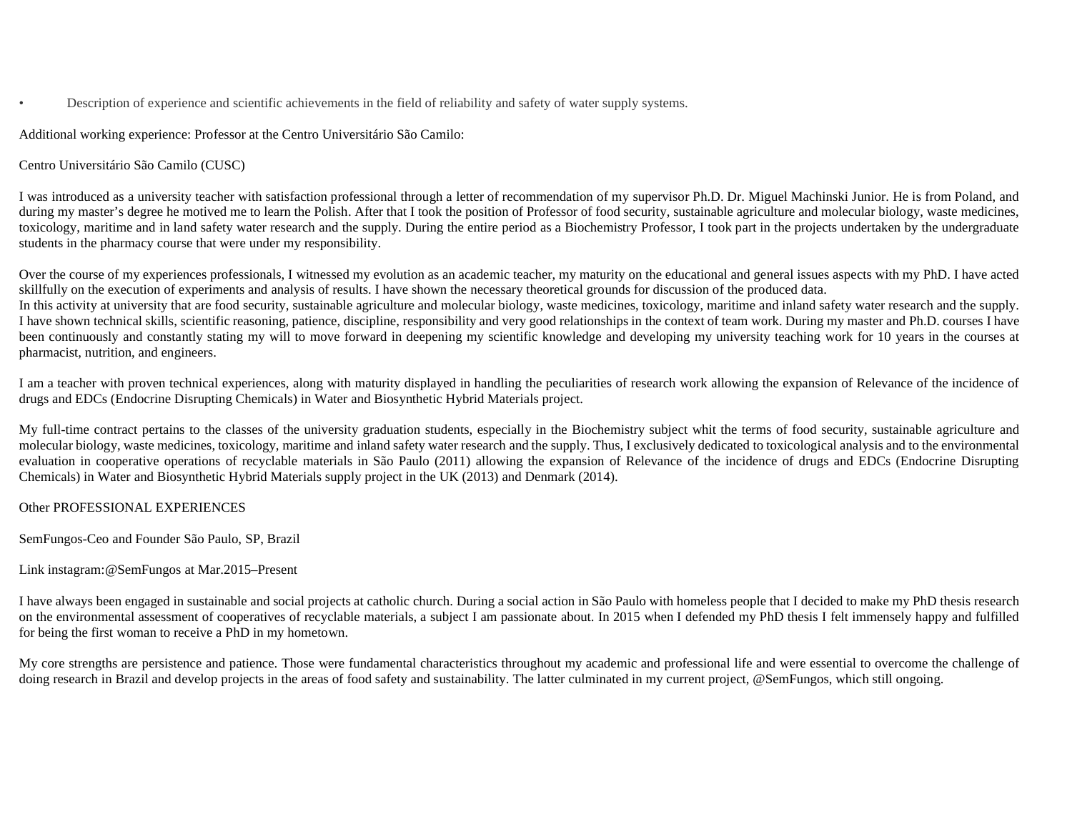• Description of experience and scientific achievements in the field of reliability and safety of water supply systems.

Additional working experience: Professor at the Centro Universitário São Camilo:

## Centro Universitário São Camilo (CUSC)

I was introduced as a university teacher with satisfaction professional through a letter of recommendation of my supervisor Ph.D. Dr. Miguel Machinski Junior. He is from Poland, and during my master's degree he motived me to learn the Polish. After that I took the position of Professor of food security, sustainable agriculture and molecular biology, waste medicines, toxicology, maritime and in land safety water research and the supply. During the entire period as a Biochemistry Professor, I took part in the projects undertaken by the undergraduate students in the pharmacy course that were under my responsibility.

Over the course of my experiences professionals, I witnessed my evolution as an academic teacher, my maturity on the educational and general issues aspects with my PhD. I have acted skillfully on the execution of experiments and analysis of results. I have shown the necessary theoretical grounds for discussion of the produced data. In this activity at university that are food security, sustainable agriculture and molecular biology, waste medicines, toxicology, maritime and inland safety water research and the supply. I have shown technical skills, scientific reasoning, patience, discipline, responsibility and very good relationships in the context of team work. During my master and Ph.D. courses I have been continuously and constantly stating my will to move forward in deepening my scientific knowledge and developing my university teaching work for 10 years in the courses at pharmacist, nutrition, and engineers.

I am a teacher with proven technical experiences, along with maturity displayed in handling the peculiarities of research work allowing the expansion of Relevance of the incidence of drugs and EDCs (Endocrine Disrupting Chemicals) in Water and Biosynthetic Hybrid Materials project.

My full-time contract pertains to the classes of the university graduation students, especially in the Biochemistry subject whit the terms of food security, sustainable agriculture and molecular biology, waste medicines, toxicology, maritime and inland safety water research and the supply. Thus, I exclusively dedicated to toxicological analysis and to the environmental evaluation in cooperative operations of recyclable materials in São Paulo (2011) allowing the expansion of Relevance of the incidence of drugs and EDCs (Endocrine Disrupting Chemicals) in Water and Biosynthetic Hybrid Materials supply project in the UK (2013) and Denmark (2014).

Other PROFESSIONAL EXPERIENCES

SemFungos-Ceo and Founder São Paulo, SP, Brazil

## Link instagram:@SemFungos at Mar.2015–Present

I have always been engaged in sustainable and social projects at catholic church. During a social action in São Paulo with homeless people that I decided to make my PhD thesis research on the environmental assessment of cooperatives of recyclable materials, a subject I am passionate about. In 2015 when I defended my PhD thesis I felt immensely happy and fulfilled for being the first woman to receive a PhD in my hometown.

My core strengths are persistence and patience. Those were fundamental characteristics throughout my academic and professional life and were essential to overcome the challenge of doing research in Brazil and develop projects in the areas of food safety and sustainability. The latter culminated in my current project, @SemFungos, which still ongoing.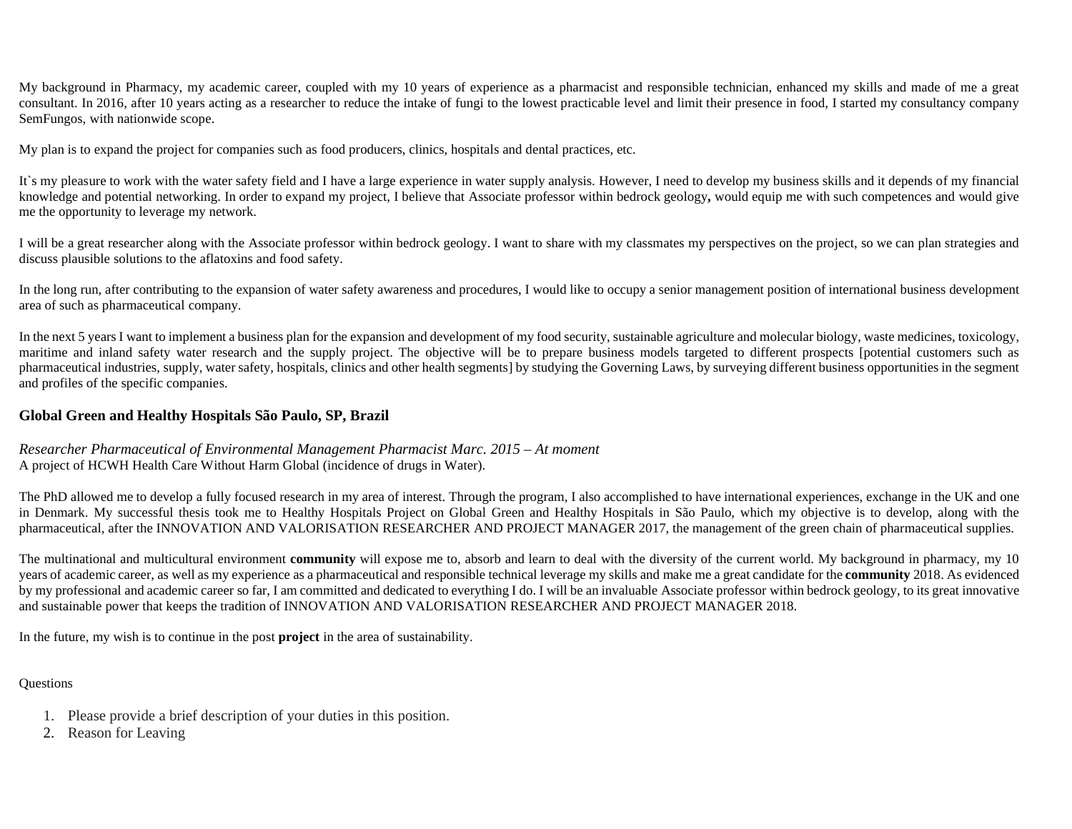My background in Pharmacy, my academic career, coupled with my 10 years of experience as a pharmacist and responsible technician, enhanced my skills and made of me a great consultant. In 2016, after 10 years acting as a researcher to reduce the intake of fungi to the lowest practicable level and limit their presence in food, I started my consultancy company SemFungos, with nationwide scope.

My plan is to expand the project for companies such as food producers, clinics, hospitals and dental practices, etc.

It's my pleasure to work with the water safety field and I have a large experience in water supply analysis. However, I need to develop my business skills and it depends of my financial knowledge and potential networking. In order to expand my project, I believe that Associate professor within bedrock geology**,** would equip me with such competences and would give me the opportunity to leverage my network.

I will be a great researcher along with the Associate professor within bedrock geology. I want to share with my classmates my perspectives on the project, so we can plan strategies and discuss plausible solutions to the aflatoxins and food safety.

In the long run, after contributing to the expansion of water safety awareness and procedures, I would like to occupy a senior management position of international business development area of such as pharmaceutical company.

In the next 5 years I want to implement a business plan for the expansion and development of my food security, sustainable agriculture and molecular biology, waste medicines, toxicology, maritime and inland safety water research and the supply project. The objective will be to prepare business models targeted to different prospects [potential customers such as pharmaceutical industries, supply, water safety, hospitals, clinics and other health segments] by studying the Governing Laws, by surveying different business opportunities in the segment and profiles of the specific companies.

#### **Global Green and Healthy Hospitals São Paulo, SP, Brazil**

#### *Researcher Pharmaceutical of Environmental Management Pharmacist Marc. 2015 – At moment*  A project of HCWH Health Care Without Harm Global (incidence of drugs in Water).

The PhD allowed me to develop a fully focused research in my area of interest. Through the program, I also accomplished to have international experiences, exchange in the UK and one in Denmark. My successful thesis took me to Healthy Hospitals Project on Global Green and Healthy Hospitals in São Paulo, which my objective is to develop, along with the pharmaceutical, after the INNOVATION AND VALORISATION RESEARCHER AND PROJECT MANAGER 2017, the management of the green chain of pharmaceutical supplies.

The multinational and multicultural environment **community** will expose me to, absorb and learn to deal with the diversity of the current world. My background in pharmacy, my 10 years of academic career, as well as my experience as a pharmaceutical and responsible technical leverage my skills and make me a great candidate for the **community** 2018. As evidenced by my professional and academic career so far, I am committed and dedicated to everything I do. I will be an invaluable Associate professor within bedrock geology, to its great innovative and sustainable power that keeps the tradition of INNOVATION AND VALORISATION RESEARCHER AND PROJECT MANAGER 2018.

In the future, my wish is to continue in the post **project** in the area of sustainability.

#### **Questions**

- 1. Please provide a brief description of your duties in this position.
- 2. Reason for Leaving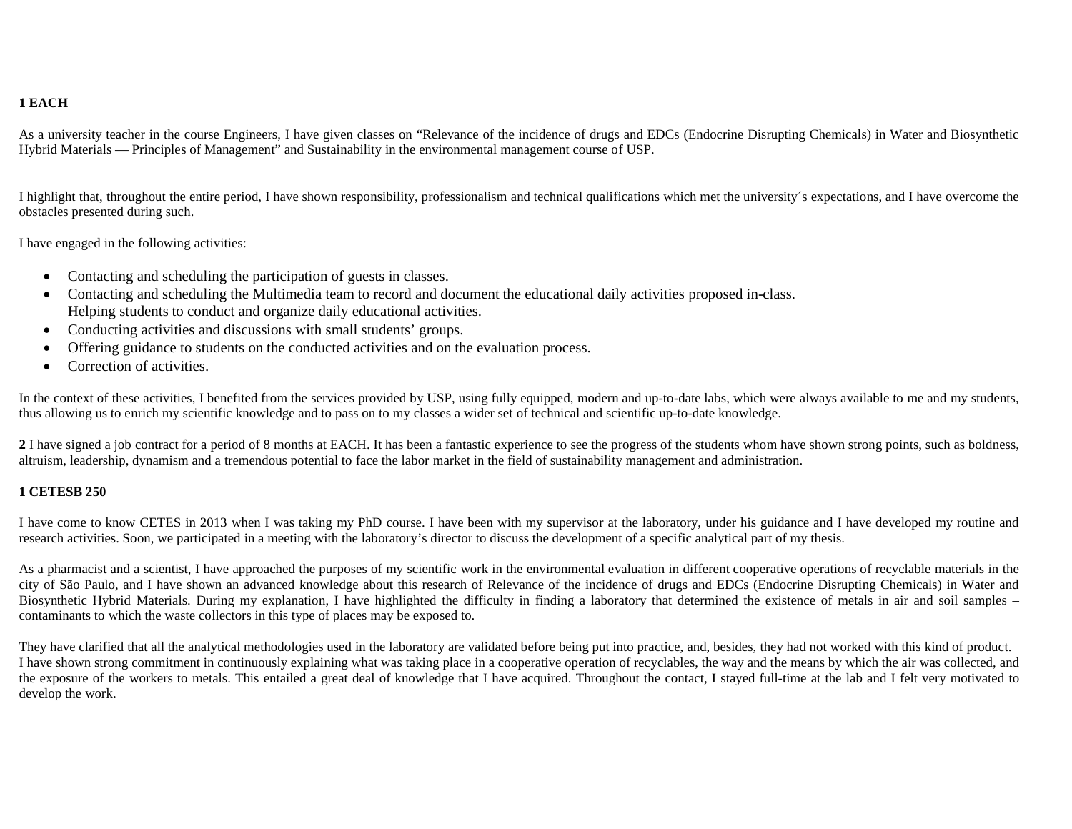## **1 EACH**

As a university teacher in the course Engineers, I have given classes on "Relevance of the incidence of drugs and EDCs (Endocrine Disrupting Chemicals) in Water and Biosynthetic Hybrid Materials — Principles of Management" and Sustainability in the environmental management course of USP.

I highlight that, throughout the entire period, I have shown responsibility, professionalism and technical qualifications which met the university´s expectations, and I have overcome the obstacles presented during such.

I have engaged in the following activities:

- Contacting and scheduling the participation of guests in classes.
- Contacting and scheduling the Multimedia team to record and document the educational daily activities proposed in-class. Helping students to conduct and organize daily educational activities.
- Conducting activities and discussions with small students' groups.
- Offering guidance to students on the conducted activities and on the evaluation process.
- Correction of activities.

In the context of these activities, I benefited from the services provided by USP, using fully equipped, modern and up-to-date labs, which were always available to me and my students, thus allowing us to enrich my scientific knowledge and to pass on to my classes a wider set of technical and scientific up-to-date knowledge.

2 I have signed a job contract for a period of 8 months at EACH. It has been a fantastic experience to see the progress of the students whom have shown strong points, such as boldness, altruism, leadership, dynamism and a tremendous potential to face the labor market in the field of sustainability management and administration.

#### **1 CETESB 250**

I have come to know CETES in 2013 when I was taking my PhD course. I have been with my supervisor at the laboratory, under his guidance and I have developed my routine and research activities. Soon, we participated in a meeting with the laboratory's director to discuss the development of a specific analytical part of my thesis.

As a pharmacist and a scientist, I have approached the purposes of my scientific work in the environmental evaluation in different cooperative operations of recyclable materials in the city of São Paulo, and I have shown an advanced knowledge about this research of Relevance of the incidence of drugs and EDCs (Endocrine Disrupting Chemicals) in Water and Biosynthetic Hybrid Materials. During my explanation, I have highlighted the difficulty in finding a laboratory that determined the existence of metals in air and soil samples – contaminants to which the waste collectors in this type of places may be exposed to.

They have clarified that all the analytical methodologies used in the laboratory are validated before being put into practice, and, besides, they had not worked with this kind of product. I have shown strong commitment in continuously explaining what was taking place in a cooperative operation of recyclables, the way and the means by which the air was collected, and the exposure of the workers to metals. This entailed a great deal of knowledge that I have acquired. Throughout the contact, I stayed full-time at the lab and I felt very motivated to develop the work.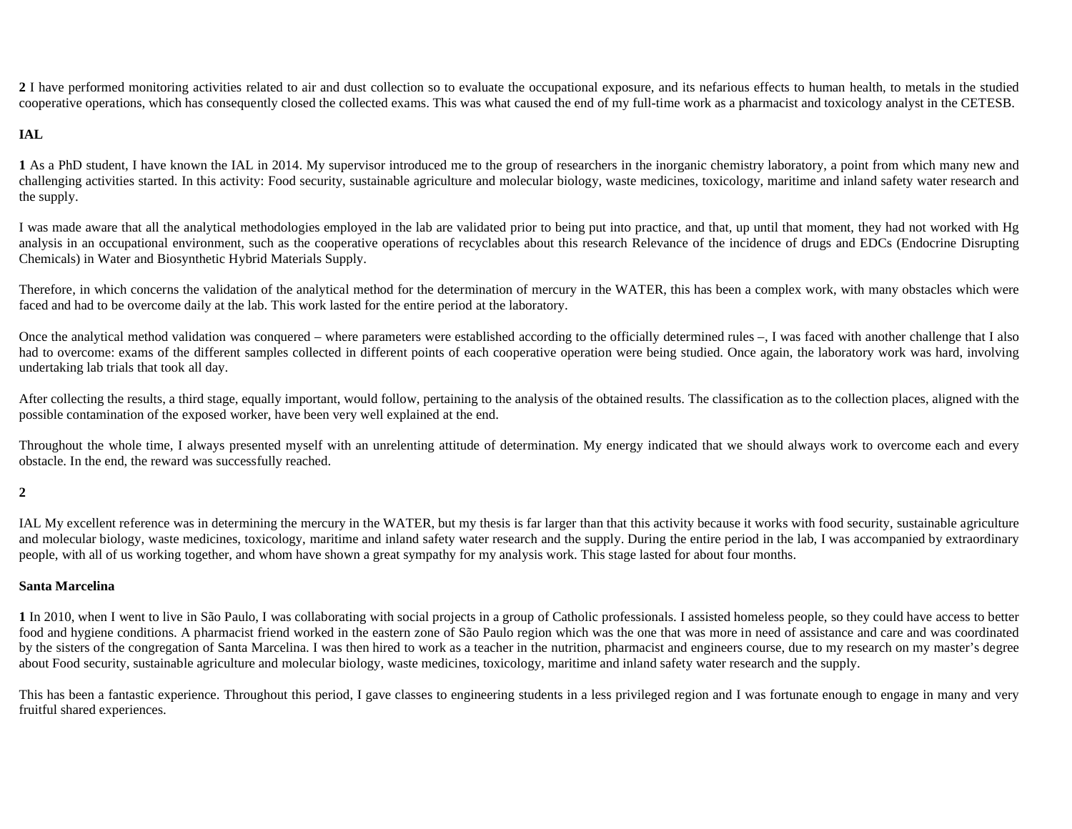**2** I have performed monitoring activities related to air and dust collection so to evaluate the occupational exposure, and its nefarious effects to human health, to metals in the studied cooperative operations, which has consequently closed the collected exams. This was what caused the end of my full-time work as a pharmacist and toxicology analyst in the CETESB.

#### **IAL**

**1** As a PhD student, I have known the IAL in 2014. My supervisor introduced me to the group of researchers in the inorganic chemistry laboratory, a point from which many new and challenging activities started. In this activity: Food security, sustainable agriculture and molecular biology, waste medicines, toxicology, maritime and inland safety water research and the supply.

I was made aware that all the analytical methodologies employed in the lab are validated prior to being put into practice, and that, up until that moment, they had not worked with Hg analysis in an occupational environment, such as the cooperative operations of recyclables about this research Relevance of the incidence of drugs and EDCs (Endocrine Disrupting Chemicals) in Water and Biosynthetic Hybrid Materials Supply.

Therefore, in which concerns the validation of the analytical method for the determination of mercury in the WATER, this has been a complex work, with many obstacles which were faced and had to be overcome daily at the lab. This work lasted for the entire period at the laboratory.

Once the analytical method validation was conquered – where parameters were established according to the officially determined rules –, I was faced with another challenge that I also had to overcome: exams of the different samples collected in different points of each cooperative operation were being studied. Once again, the laboratory work was hard, involving undertaking lab trials that took all day.

After collecting the results, a third stage, equally important, would follow, pertaining to the analysis of the obtained results. The classification as to the collection places, aligned with the possible contamination of the exposed worker, have been very well explained at the end.

Throughout the whole time, I always presented myself with an unrelenting attitude of determination. My energy indicated that we should always work to overcome each and every obstacle. In the end, the reward was successfully reached.

#### **2**

IAL My excellent reference was in determining the mercury in the WATER, but my thesis is far larger than that this activity because it works with food security, sustainable agriculture and molecular biology, waste medicines, toxicology, maritime and inland safety water research and the supply. During the entire period in the lab, I was accompanied by extraordinary people, with all of us working together, and whom have shown a great sympathy for my analysis work. This stage lasted for about four months.

#### **Santa Marcelina**

**1** In 2010, when I went to live in São Paulo, I was collaborating with social projects in a group of Catholic professionals. I assisted homeless people, so they could have access to better food and hygiene conditions. A pharmacist friend worked in the eastern zone of São Paulo region which was the one that was more in need of assistance and care and was coordinated by the sisters of the congregation of Santa Marcelina. I was then hired to work as a teacher in the nutrition, pharmacist and engineers course, due to my research on my master's degree about Food security, sustainable agriculture and molecular biology, waste medicines, toxicology, maritime and inland safety water research and the supply.

This has been a fantastic experience. Throughout this period, I gave classes to engineering students in a less privileged region and I was fortunate enough to engage in many and very fruitful shared experiences.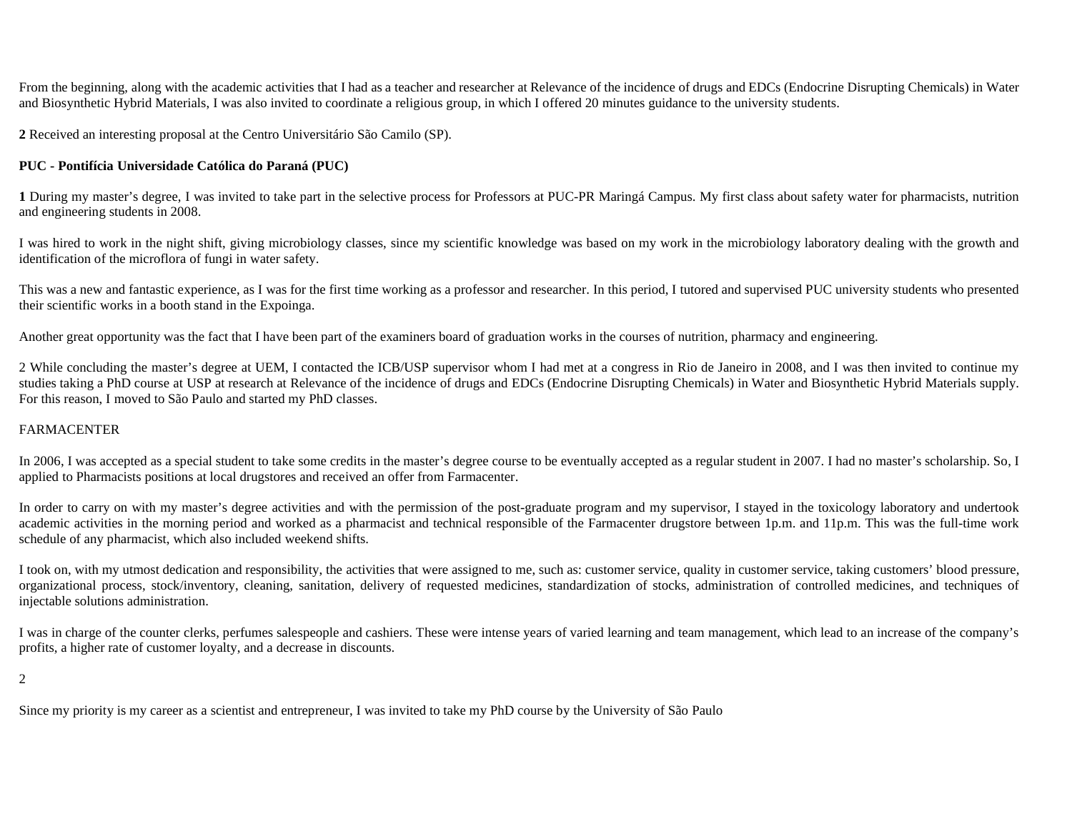From the beginning, along with the academic activities that I had as a teacher and researcher at Relevance of the incidence of drugs and EDCs (Endocrine Disrupting Chemicals) in Water and Biosynthetic Hybrid Materials, I was also invited to coordinate a religious group, in which I offered 20 minutes guidance to the university students.

**2** Received an interesting proposal at the Centro Universitário São Camilo (SP).

## **PUC - Pontifícia Universidade Católica do Paraná (PUC)**

**1** During my master's degree, I was invited to take part in the selective process for Professors at PUC-PR Maringá Campus. My first class about safety water for pharmacists, nutrition and engineering students in 2008.

I was hired to work in the night shift, giving microbiology classes, since my scientific knowledge was based on my work in the microbiology laboratory dealing with the growth and identification of the microflora of fungi in water safety.

This was a new and fantastic experience, as I was for the first time working as a professor and researcher. In this period, I tutored and supervised PUC university students who presented their scientific works in a booth stand in the Expoinga.

Another great opportunity was the fact that I have been part of the examiners board of graduation works in the courses of nutrition, pharmacy and engineering.

2 While concluding the master's degree at UEM, I contacted the ICB/USP supervisor whom I had met at a congress in Rio de Janeiro in 2008, and I was then invited to continue my studies taking a PhD course at USP at research at Relevance of the incidence of drugs and EDCs (Endocrine Disrupting Chemicals) in Water and Biosynthetic Hybrid Materials supply. For this reason, I moved to São Paulo and started my PhD classes.

## FARMACENTER

In 2006, I was accepted as a special student to take some credits in the master's degree course to be eventually accepted as a regular student in 2007. I had no master's scholarship. So, I applied to Pharmacists positions at local drugstores and received an offer from Farmacenter.

In order to carry on with my master's degree activities and with the permission of the post-graduate program and my supervisor, I stayed in the toxicology laboratory and undertook academic activities in the morning period and worked as a pharmacist and technical responsible of the Farmacenter drugstore between 1p.m. and 11p.m. This was the full-time work schedule of any pharmacist, which also included weekend shifts.

I took on, with my utmost dedication and responsibility, the activities that were assigned to me, such as: customer service, quality in customer service, taking customers' blood pressure, organizational process, stock/inventory, cleaning, sanitation, delivery of requested medicines, standardization of stocks, administration of controlled medicines, and techniques of injectable solutions administration.

I was in charge of the counter clerks, perfumes salespeople and cashiers. These were intense years of varied learning and team management, which lead to an increase of the company's profits, a higher rate of customer loyalty, and a decrease in discounts.

2

Since my priority is my career as a scientist and entrepreneur, I was invited to take my PhD course by the University of São Paulo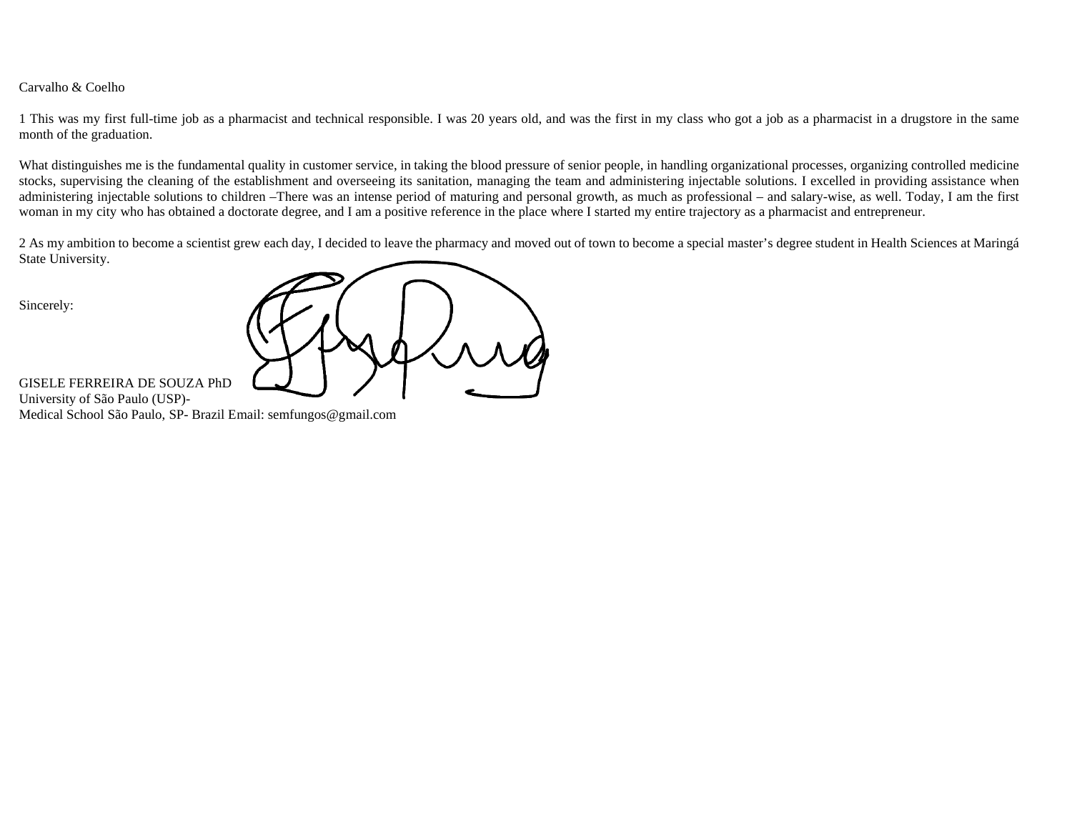#### Carvalho & Coelho

1 This was my first full-time job as a pharmacist and technical responsible. I was 20 years old, and was the first in my class who got a job as a pharmacist in a drugstore in the same month of the graduation.

What distinguishes me is the fundamental quality in customer service, in taking the blood pressure of senior people, in handling organizational processes, organizing controlled medicine stocks, supervising the cleaning of the establishment and overseeing its sanitation, managing the team and administering injectable solutions. I excelled in providing assistance when administering injectable solutions to children –There was an intense period of maturing and personal growth, as much as professional – and salary-wise, as well. Today, I am the first woman in my city who has obtained a doctorate degree, and I am a positive reference in the place where I started my entire trajectory as a pharmacist and entrepreneur.

2 As my ambition to become a scientist grew each day, I decided to leave the pharmacy and moved out of town to become a special master's degree student in Health Sciences at Maringá State University.

Sincerely:

GISELE FERREIRA DE SOUZA PhD University of São Paulo (USP)- Medical School São Paulo, SP- Brazil Email: semfungos@gmail.com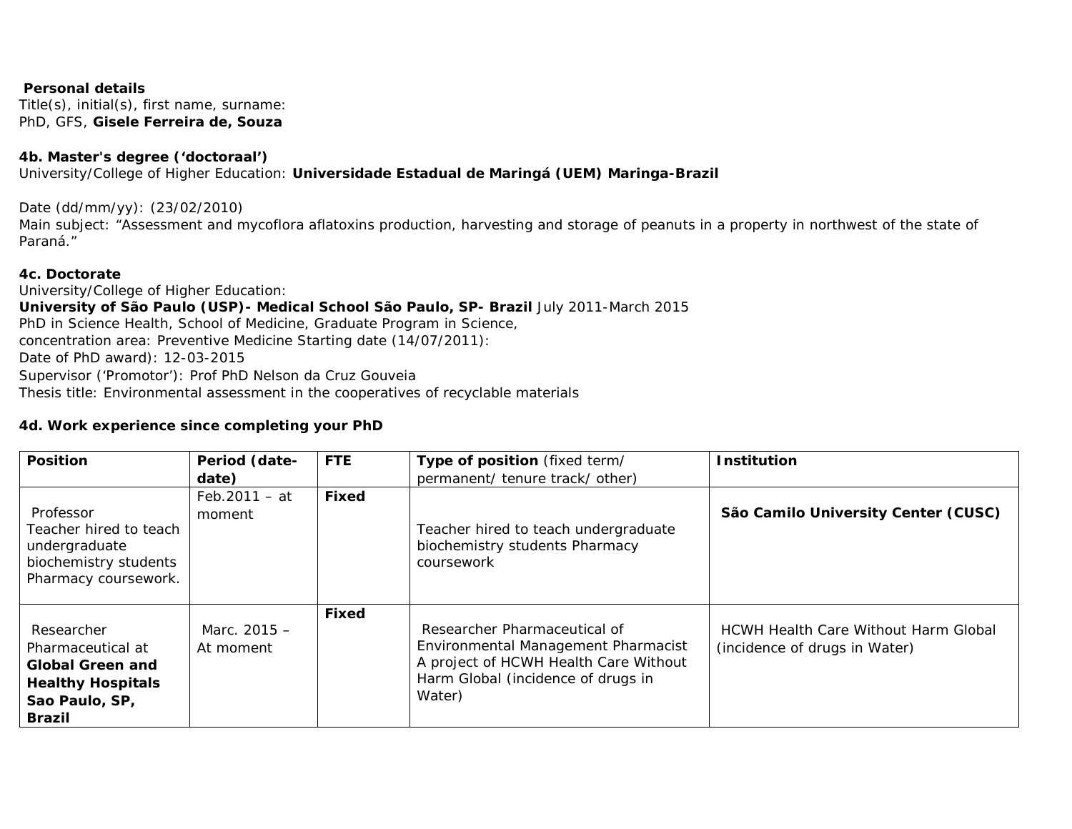**Personal details** Title(s), initial(s), first name, surname: PhD, GFS, **Gisele Ferreira de, Souza**

**4b. Master's degree ('doctoraal')** University/College of Higher Education: **Universidade Estadual de Maringá (UEM) Maringa-Brazil** 

Date (dd/mm/yy): (23/02/2010)

Main subject: *"Assessment and mycoflora aflatoxins production, harvesting and storage of peanuts in a property in northwest of the state of Paraná."* 

**4c. Doctorate** University/College of Higher Education: **University of São Paulo (USP)- Medical School** *São Paulo, SP- Brazil July 2011-March 2015*  PhD in Science Health, School of Medicine, Graduate Program in Science, concentration area: Preventive Medicine Starting date (14/07/2011): Date of PhD award): 12-03-2015 Supervisor ('Promotor'): Prof PhD Nelson da Cruz Gouveia Thesis title: Environmental assessment in the cooperatives of recyclable materials

**4d. Work experience since completing your PhD**

| Position                                                                                                    | Period (date-             | <b>FTE</b> | Type of position (fixed term/                                                                                                                                | Institution                                                                  |
|-------------------------------------------------------------------------------------------------------------|---------------------------|------------|--------------------------------------------------------------------------------------------------------------------------------------------------------------|------------------------------------------------------------------------------|
|                                                                                                             | date)                     |            | permanent/ tenure track/ other)                                                                                                                              |                                                                              |
| Professor<br>Teacher hired to teach<br>undergraduate<br>biochemistry students<br>Pharmacy coursework.       | $Feb.2011 - at$<br>moment | Fixed      | Teacher hired to teach undergraduate<br>biochemistry students Pharmacy<br>coursework                                                                         | São Camilo University Center (CUSC)                                          |
| Researcher<br>Pharmaceutical at<br>Global Green and<br><b>Healthy Hospitals</b><br>Sao Paulo, SP,<br>Brazil | Marc. 2015 -<br>At moment | Fixed      | Researcher Pharmaceutical of<br>Environmental Management Pharmacist<br>A project of HCWH Health Care Without<br>Harm Global (incidence of drugs in<br>Water) | <b>HCWH Health Care Without Harm Global</b><br>(incidence of drugs in Water) |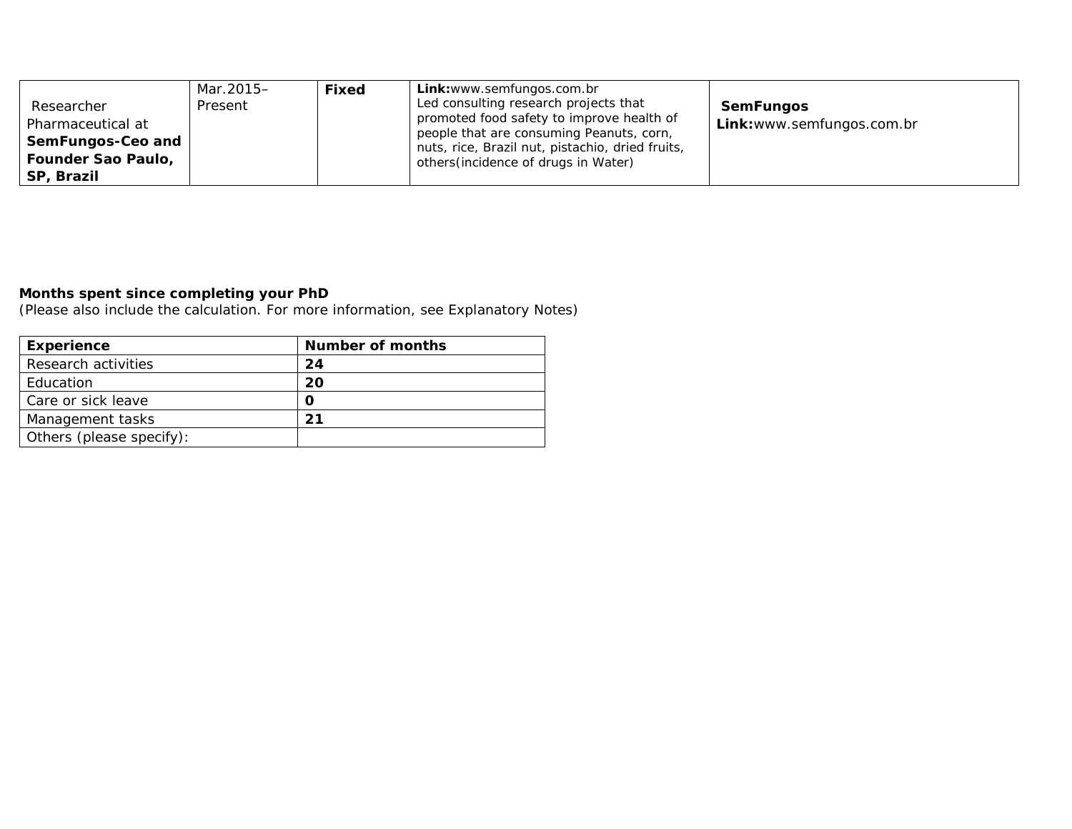| Researcher<br>Pharmaceutical at<br>SemFungos-Ceo and<br>Founder Sao Paulo,<br>SP, Brazil | Mar.2015-<br>Present | Fixed | Link: www.semfungos.com.br<br>Led consulting research projects that<br>promoted food safety to improve health of<br>people that are consuming Peanuts, corn,<br>nuts, rice, Brazil nut, pistachio, dried fruits,<br>others (incidence of drugs in Water) | SemFungos<br>Link: www.semfungos.com.br |
|------------------------------------------------------------------------------------------|----------------------|-------|----------------------------------------------------------------------------------------------------------------------------------------------------------------------------------------------------------------------------------------------------------|-----------------------------------------|
|                                                                                          |                      |       |                                                                                                                                                                                                                                                          |                                         |

**Months spent since completing your PhD**

(Please also include the calculation. For more information, see Explanatory Notes)

| Experience               | Number of months |
|--------------------------|------------------|
| Research activities      | 24               |
| Education                | 20               |
| Care or sick leave       |                  |
| Management tasks         |                  |
| Others (please specify): |                  |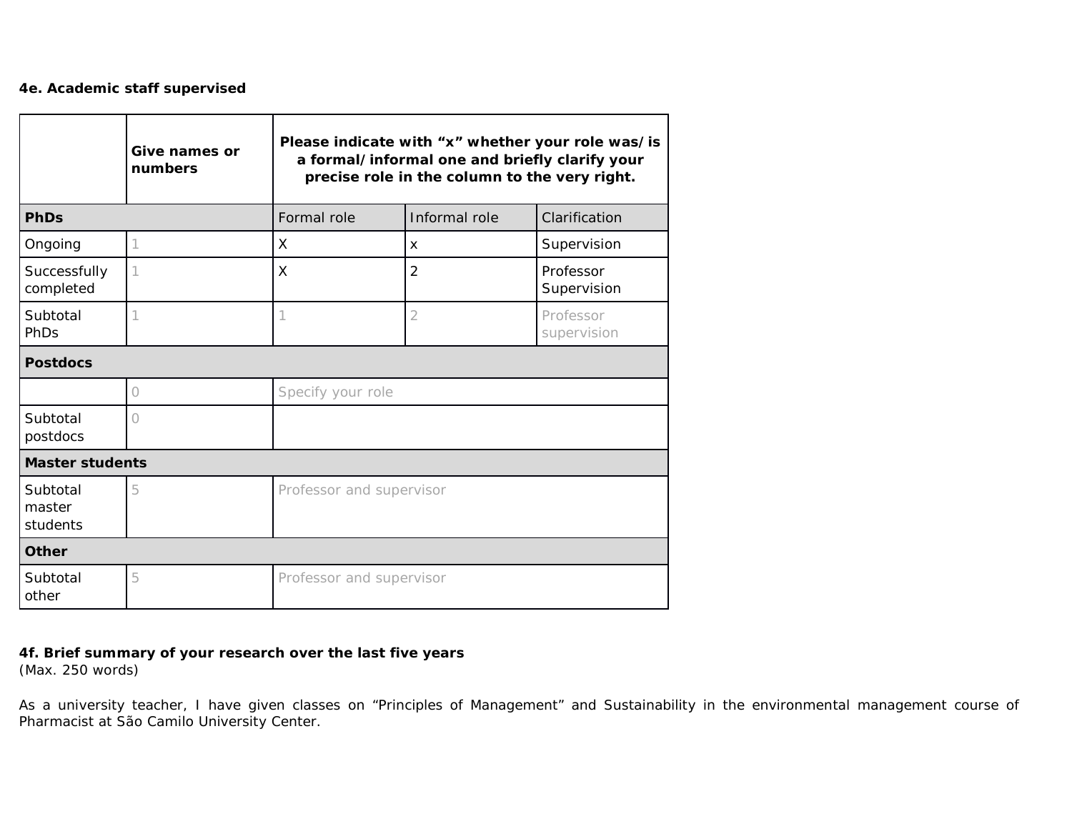## **4e. Academic staff supervised**

|                                | Give names or<br>numbers | Please indicate with "x" whether your role was/is<br>a formal/informal one and briefly clarify your<br>precise role in the column to the very right. |                |                          |  |  |
|--------------------------------|--------------------------|------------------------------------------------------------------------------------------------------------------------------------------------------|----------------|--------------------------|--|--|
| PhDs                           |                          | Formal role                                                                                                                                          | Informal role  | Clarification            |  |  |
| Ongoing                        |                          | X                                                                                                                                                    | X              | Supervision              |  |  |
| Successfully<br>completed      |                          | $\times$                                                                                                                                             | $\overline{2}$ | Professor<br>Supervision |  |  |
| Subtotal<br>PhDs               |                          |                                                                                                                                                      | $\overline{2}$ | Professor<br>supervision |  |  |
| Postdocs                       |                          |                                                                                                                                                      |                |                          |  |  |
|                                | 0                        | Specify your role                                                                                                                                    |                |                          |  |  |
| Subtotal<br>postdocs           | Ω                        |                                                                                                                                                      |                |                          |  |  |
|                                | Master students          |                                                                                                                                                      |                |                          |  |  |
| Subtotal<br>master<br>students | 5                        | Professor and supervisor                                                                                                                             |                |                          |  |  |
| Other                          |                          |                                                                                                                                                      |                |                          |  |  |
| Subtotal<br>other              | 5                        | Professor and supervisor                                                                                                                             |                |                          |  |  |

**4f. Brief summary of your research over the last five years**  (Max. 250 words)

As a university teacher, I have given classes on "Principles of Management" and Sustainability in the environmental management course of Pharmacist at São Camilo University Center.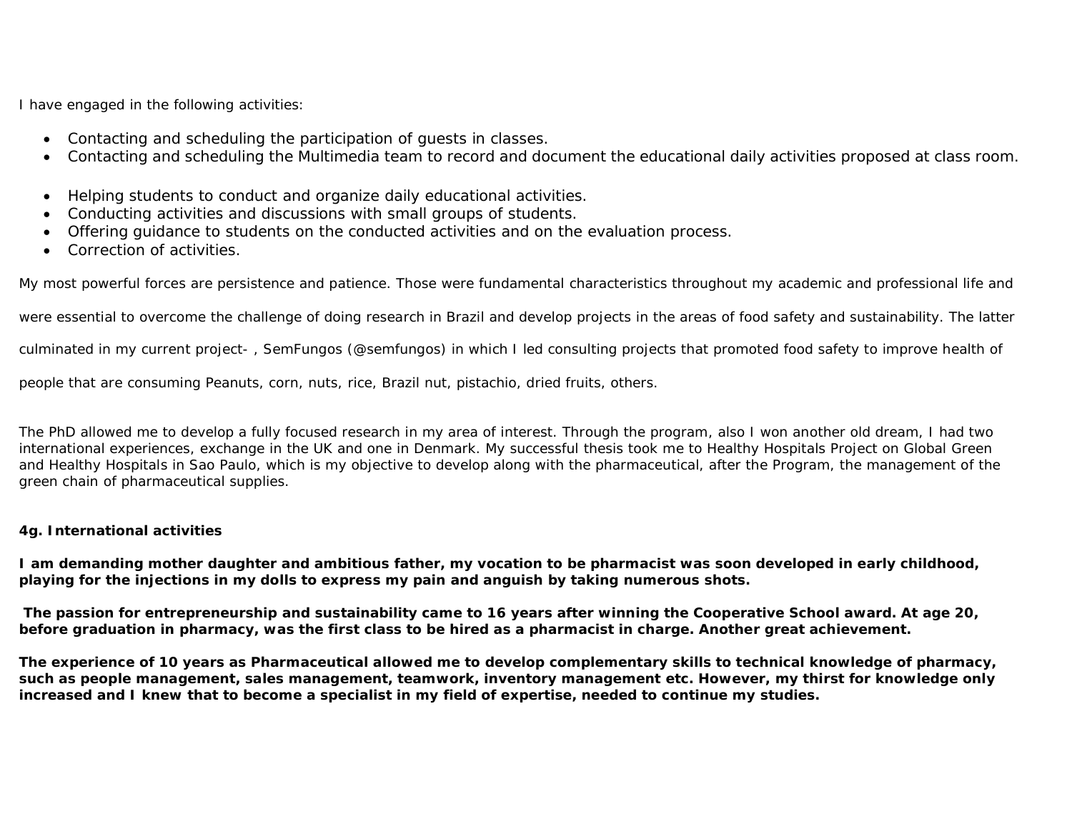I have engaged in the following activities:

- Contacting and scheduling the participation of guests in classes.
- Contacting and scheduling the Multimedia team to record and document the educational daily activities proposed at class room.
- Helping students to conduct and organize daily educational activities.
- Conducting activities and discussions with small groups of students.
- Offering guidance to students on the conducted activities and on the evaluation process.
- Correction of activities.

My most powerful forces are persistence and patience. Those were fundamental characteristics throughout my academic and professional life and

were essential to overcome the challenge of doing research in Brazil and develop projects in the areas of food safety and sustainability. The latter

culminated in my current project- , SemFungos (@semfungos) in which I led consulting projects that promoted food safety to improve health of

people that are consuming Peanuts, corn, nuts, rice, Brazil nut, pistachio, dried fruits, others.

The PhD allowed me to develop a fully focused research in my area of interest. Through the program, also I won another old dream, I had two international experiences, exchange in the UK and one in Denmark. My successful thesis took me to Healthy Hospitals Project on Global Green and Healthy Hospitals in Sao Paulo, which is my objective to develop along with the pharmaceutical, after the Program, the management of the green chain of pharmaceutical supplies.

## **4g. International activities**

**I am demanding mother daughter and ambitious father, my vocation to be pharmacist was soon developed in early childhood, playing for the injections in my dolls to express my pain and anguish by taking numerous shots.**

**The passion for entrepreneurship and sustainability came to 16 years after winning the Cooperative School award. At age 20, before graduation in pharmacy, was the first class to be hired as a pharmacist in charge. Another great achievement.**

**The experience of 10 years as Pharmaceutical allowed me to develop complementary skills to technical knowledge of pharmacy, such as people management, sales management, teamwork, inventory management etc. However, my thirst for knowledge only increased and I knew that to become a specialist in my field of expertise, needed to continue my studies.**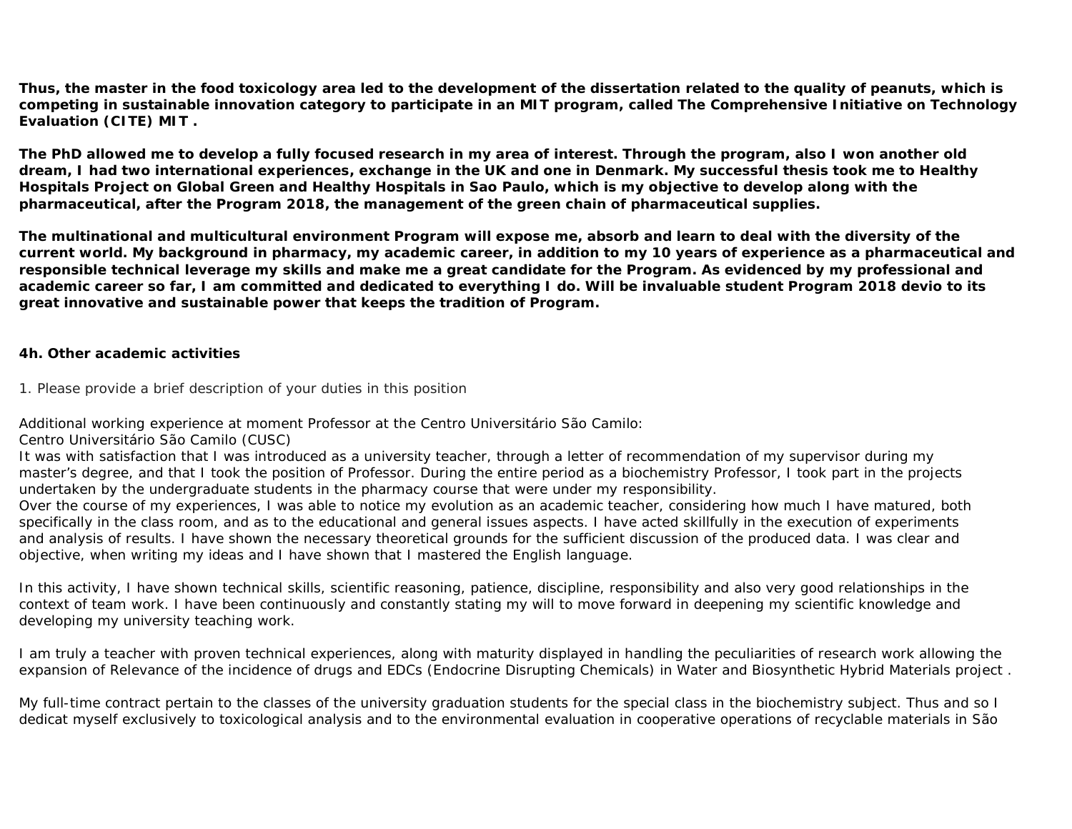**Thus, the master in the food toxicology area led to the development of the dissertation related to the quality of peanuts, which is competing in sustainable innovation category to participate in an MIT program, called The Comprehensive Initiative on Technology Evaluation (CITE) MIT .**

**The PhD allowed me to develop a fully focused research in my area of interest. Through the program, also I won another old dream, I had two international experiences, exchange in the UK and one in Denmark. My successful thesis took me to Healthy Hospitals Project on Global Green and Healthy Hospitals in Sao Paulo, which is my objective to develop along with the pharmaceutical, after the Program 2018, the management of the green chain of pharmaceutical supplies.**

**The multinational and multicultural environment Program will expose me, absorb and learn to deal with the diversity of the current world. My background in pharmacy, my academic career, in addition to my 10 years of experience as a pharmaceutical and responsible technical leverage my skills and make me a great candidate for the Program. As evidenced by my professional and academic career so far, I am committed and dedicated to everything I do. Will be invaluable student Program 2018 devio to its great innovative and sustainable power that keeps the tradition of Program.**

**4h. Other academic activities** 

1. Please provide a brief description of your duties in this position

Additional working experience at moment Professor at the Centro Universitário São Camilo:

Centro Universitário São Camilo (CUSC)

It was with satisfaction that I was introduced as a university teacher, through a letter of recommendation of my supervisor during my master's degree, and that I took the position of Professor. During the entire period as a biochemistry Professor, I took part in the projects undertaken by the undergraduate students in the pharmacy course that were under my responsibility.

Over the course of my experiences, I was able to notice my evolution as an academic teacher, considering how much I have matured, both specifically in the class room, and as to the educational and general issues aspects. I have acted skillfully in the execution of experiments and analysis of results. I have shown the necessary theoretical grounds for the sufficient discussion of the produced data. I was clear and objective, when writing my ideas and I have shown that I mastered the English language.

In this activity, I have shown technical skills, scientific reasoning, patience, discipline, responsibility and also very good relationships in the context of team work. I have been continuously and constantly stating my will to move forward in deepening my scientific knowledge and developing my university teaching work.

I am truly a teacher with proven technical experiences, along with maturity displayed in handling the peculiarities of research work allowing the expansion of Relevance of the incidence of drugs and EDCs (Endocrine Disrupting Chemicals) in Water and Biosynthetic Hybrid Materials project .

My full-time contract pertain to the classes of the university graduation students for the special class in the biochemistry subject. Thus and so I dedicat myself exclusively to toxicological analysis and to the environmental evaluation in cooperative operations of recyclable materials in São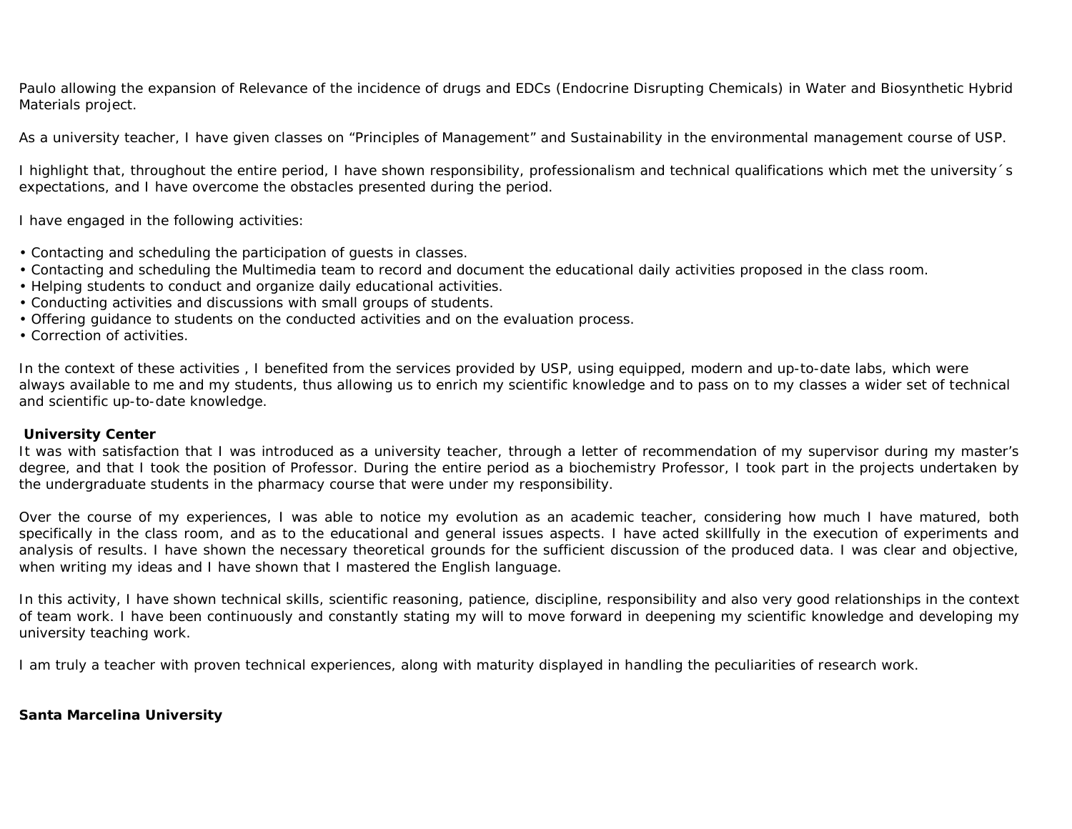Paulo allowing the expansion of Relevance of the incidence of drugs and EDCs (Endocrine Disrupting Chemicals) in Water and Biosynthetic Hybrid Materials project.

As a university teacher, I have given classes on "Principles of Management" and Sustainability in the environmental management course of USP.

I highlight that, throughout the entire period, I have shown responsibility, professionalism and technical qualifications which met the university´s expectations, and I have overcome the obstacles presented during the period.

I have engaged in the following activities:

- Contacting and scheduling the participation of guests in classes.
- Contacting and scheduling the Multimedia team to record and document the educational daily activities proposed in the class room.
- Helping students to conduct and organize daily educational activities.
- Conducting activities and discussions with small groups of students.
- Offering guidance to students on the conducted activities and on the evaluation process.

• Correction of activities.

In the context of these activities , I benefited from the services provided by USP, using equipped, modern and up-to-date labs, which were always available to me and my students, thus allowing us to enrich my scientific knowledge and to pass on to my classes a wider set of technical and scientific up-to-date knowledge.

## **University Center**

It was with satisfaction that I was introduced as a university teacher, through a letter of recommendation of my supervisor during my master's degree, and that I took the position of Professor. During the entire period as a biochemistry Professor, I took part in the projects undertaken by the undergraduate students in the pharmacy course that were under my responsibility.

Over the course of my experiences, I was able to notice my evolution as an academic teacher, considering how much I have matured, both specifically in the class room, and as to the educational and general issues aspects. I have acted skillfully in the execution of experiments and analysis of results. I have shown the necessary theoretical grounds for the sufficient discussion of the produced data. I was clear and objective, when writing my ideas and I have shown that I mastered the English language.

In this activity, I have shown technical skills, scientific reasoning, patience, discipline, responsibility and also very good relationships in the context of team work. I have been continuously and constantly stating my will to move forward in deepening my scientific knowledge and developing my university teaching work.

I am truly a teacher with proven technical experiences, along with maturity displayed in handling the peculiarities of research work.

**Santa Marcelina University**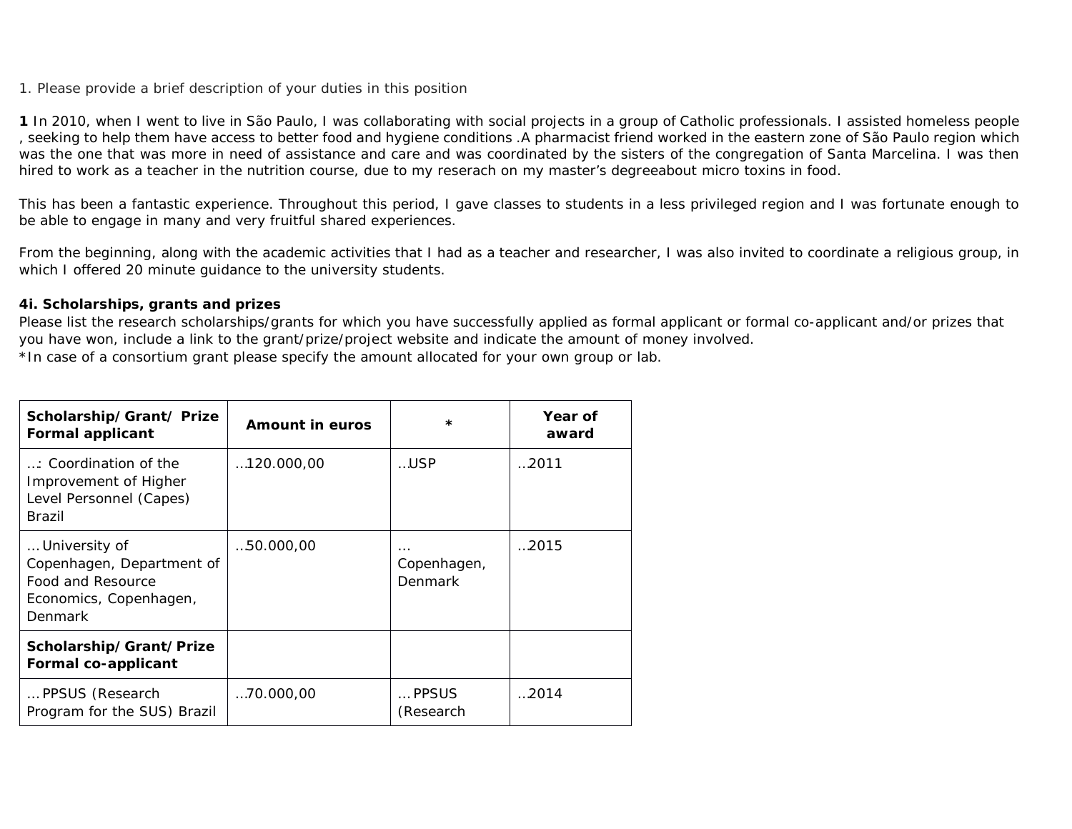## 1. Please provide a brief description of your duties in this position

**1** In 2010, when I went to live in São Paulo, I was collaborating with social projects in a group of Catholic professionals. I assisted homeless people , seeking to help them have access to better food and hygiene conditions .A pharmacist friend worked in the eastern zone of São Paulo region which was the one that was more in need of assistance and care and was coordinated by the sisters of the congregation of Santa Marcelina. I was then hired to work as a teacher in the nutrition course, due to my reserach on my master's degreeabout micro toxins in food.

This has been a fantastic experience. Throughout this period, I gave classes to students in a less privileged region and I was fortunate enough to be able to engage in many and very fruitful shared experiences.

From the beginning, along with the academic activities that I had as a teacher and researcher, I was also invited to coordinate a religious group, in which I offered 20 minute guidance to the university students.

## **4i. Scholarships, grants and prizes**

Please list the research scholarships/grants for which you have successfully applied as formal applicant or formal co-applicant and/or prizes that you have won, include a link to the grant/prize/project website and indicate the amount of money involved. \*In case of a consortium grant please specify the amount allocated for your own group or lab.

| Scholarship/Grant/Prize<br>Formal applicant                                                          | Amount in euros    | $\star$                            | Year of<br>award |
|------------------------------------------------------------------------------------------------------|--------------------|------------------------------------|------------------|
| : Coordination of the<br>Improvement of Higher<br>Level Personnel (Capes)<br>Brazil                  | $\dots$ 120.000.00 | USP                                | 2011             |
| University of<br>Copenhagen, Department of<br>Food and Resource<br>Economics, Copenhagen,<br>Denmark | 50.000,00          | $\cdots$<br>Copenhagen,<br>Denmark | 2015             |
| Scholarship/Grant/Prize<br>Formal co-applicant                                                       |                    |                                    |                  |
| PPSUS (Research<br>Program for the SUS) Brazil                                                       | 70.000,00          | PPSUS<br>(Research                 | 2014             |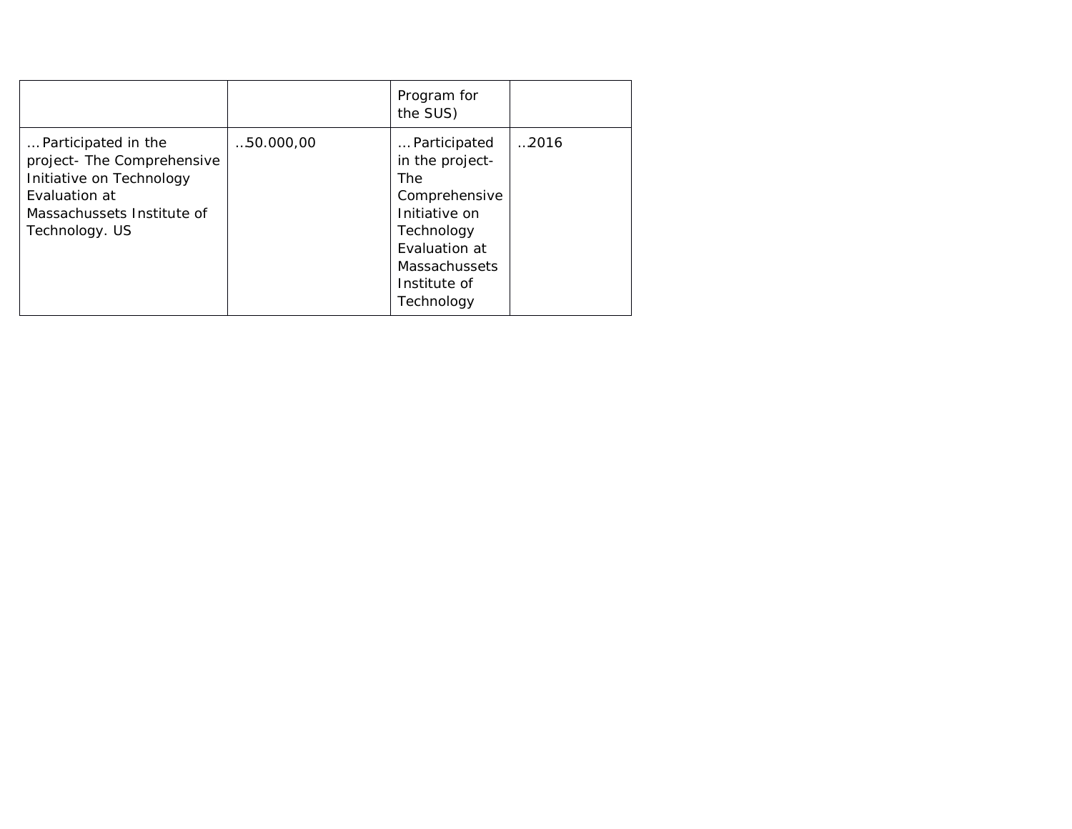|                                                                                                                                                |           | Program for<br>the SUS)                                                                                                                                              |        |
|------------------------------------------------------------------------------------------------------------------------------------------------|-----------|----------------------------------------------------------------------------------------------------------------------------------------------------------------------|--------|
| Participated in the<br>project- The Comprehensive<br>Initiative on Technology<br>Evaluation at<br>Massachussets Institute of<br>Technology. US | 50.000,00 | Participated<br>in the project-<br><b>The</b><br>Comprehensive<br>Initiative on<br>Technology<br>Evaluation at<br><b>Massachussets</b><br>Institute of<br>Technology | 0.2016 |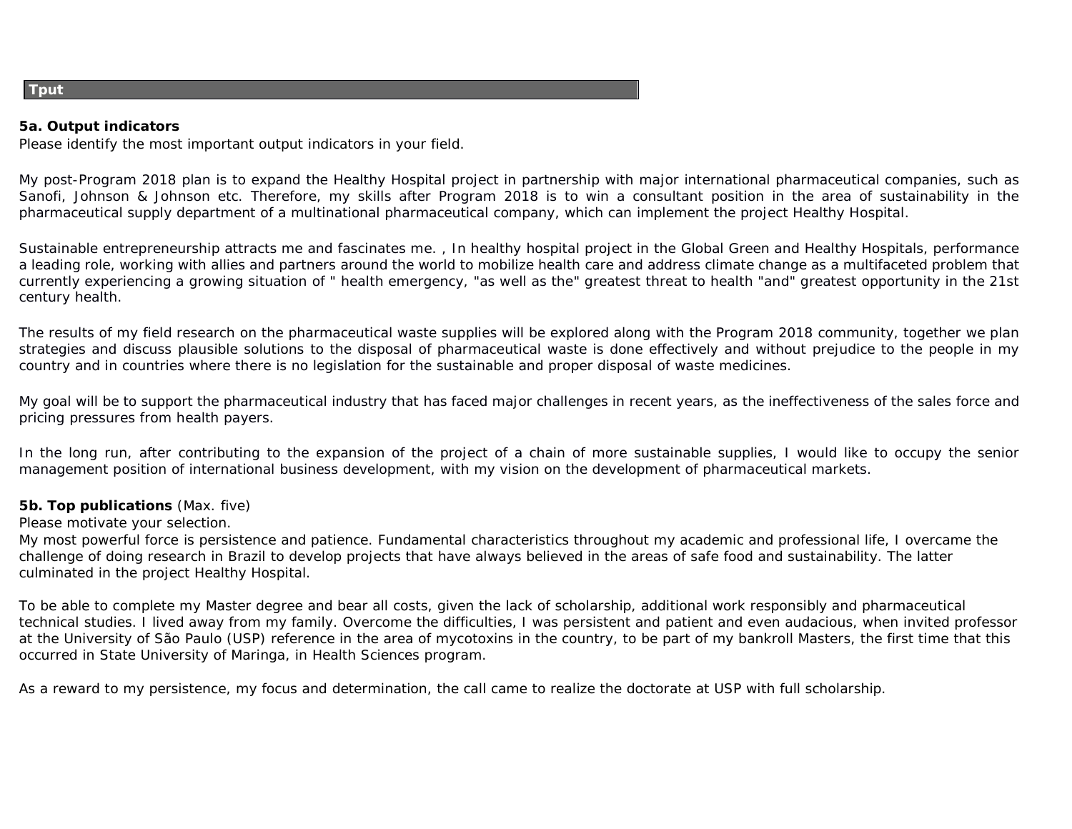#### **Tput**

**5a. Output indicators** Please identify the most important output indicators in your field.

My post-Program 2018 plan is to expand the Healthy Hospital project in partnership with major international pharmaceutical companies, such as Sanofi, Johnson & Johnson etc. Therefore, my skills after Program 2018 is to win a consultant position in the area of sustainability in the pharmaceutical supply department of a multinational pharmaceutical company, which can implement the project Healthy Hospital.

Sustainable entrepreneurship attracts me and fascinates me. , In healthy hospital project in the Global Green and Healthy Hospitals, performance a leading role, working with allies and partners around the world to mobilize health care and address climate change as a multifaceted problem that currently experiencing a growing situation of " health emergency, "as well as the" greatest threat to health "and" greatest opportunity in the 21st century health.

The results of my field research on the pharmaceutical waste supplies will be explored along with the Program 2018 community, together we plan strategies and discuss plausible solutions to the disposal of pharmaceutical waste is done effectively and without prejudice to the people in my country and in countries where there is no legislation for the sustainable and proper disposal of waste medicines.

My goal will be to support the pharmaceutical industry that has faced major challenges in recent years, as the ineffectiveness of the sales force and pricing pressures from health payers.

In the long run, after contributing to the expansion of the project of a chain of more sustainable supplies, I would like to occupy the senior management position of international business development, with my vision on the development of pharmaceutical markets.

**5b. Top publications** (Max. five)

Please motivate your selection.

My most powerful force is persistence and patience. Fundamental characteristics throughout my academic and professional life, I overcame the challenge of doing research in Brazil to develop projects that have always believed in the areas of safe food and sustainability. The latter culminated in the project Healthy Hospital.

To be able to complete my Master degree and bear all costs, given the lack of scholarship, additional work responsibly and pharmaceutical technical studies. I lived away from my family. Overcome the difficulties, I was persistent and patient and even audacious, when invited professor at the University of São Paulo (USP) reference in the area of mycotoxins in the country, to be part of my bankroll Masters, the first time that this occurred in State University of Maringa, in Health Sciences program.

As a reward to my persistence, my focus and determination, the call came to realize the doctorate at USP with full scholarship.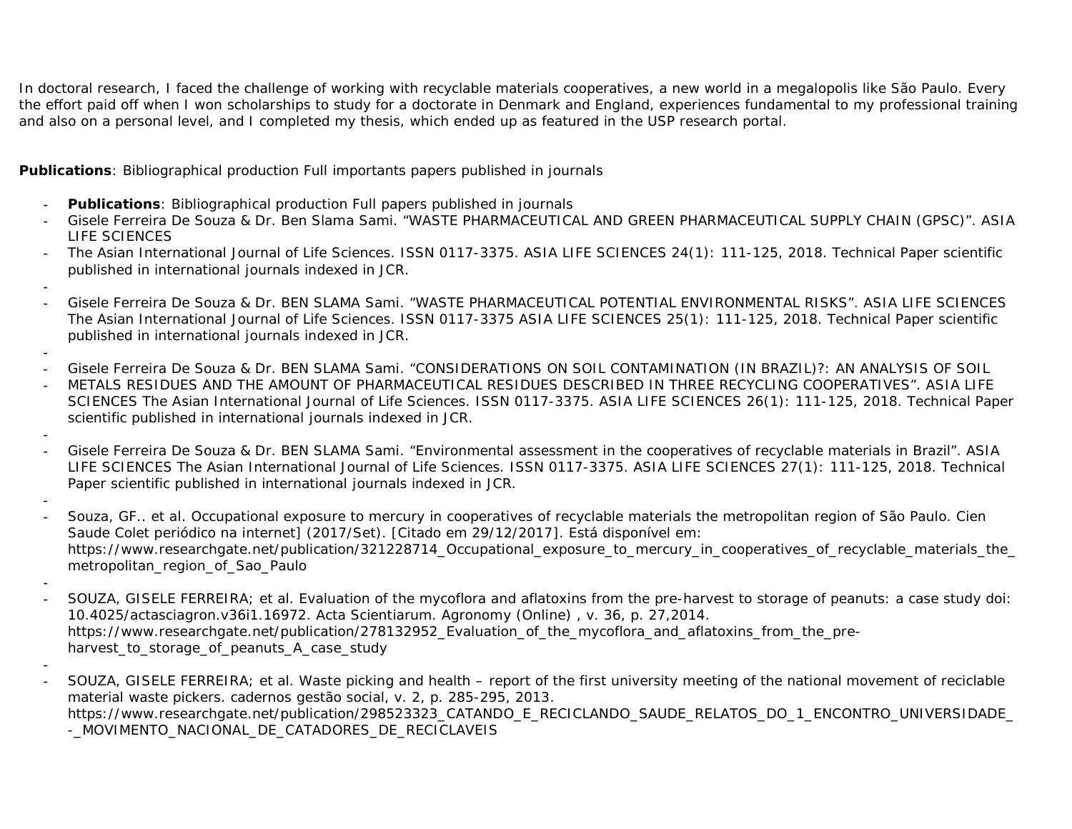In doctoral research, I faced the challenge of working with recyclable materials cooperatives, a new world in a megalopolis like São Paulo. Every the effort paid off when I won scholarships to study for a doctorate in Denmark and England, experiences fundamental to my professional training and also on a personal level, and I completed my thesis, which ended up as featured in the USP research portal.

**Publications**: Bibliographical production Full importants papers published in journals

- **- Publications**: Bibliographical production Full papers published in journals
- **-** Gisele Ferreira De Souza & Dr. Ben Slama Sami. "WASTE PHARMACEUTICAL AND GREEN PHARMACEUTICAL SUPPLY CHAIN (GPSC)". ASIA LIFE SCIENCES
- **-** The Asian International Journal of Life Sciences. ISSN 0117-3375. ASIA LIFE SCIENCES 24(1): 111-125, 2018. Technical Paper scientific published in international journals indexed in JCR.
- **-**
- **-** Gisele Ferreira De Souza & Dr. BEN SLAMA Sami. "WASTE PHARMACEUTICAL POTENTIAL ENVIRONMENTAL RISKS". ASIA LIFE SCIENCES The Asian International Journal of Life Sciences. ISSN 0117-3375 ASIA LIFE SCIENCES 25(1): 111-125, 2018. Technical Paper scientific published in international journals indexed in JCR.
- **-**
- **-** Gisele Ferreira De Souza & Dr. BEN SLAMA Sami. "CONSIDERATIONS ON SOIL CONTAMINATION (IN BRAZIL)?: AN ANALYSIS OF SOIL
- **-** METALS RESIDUES AND THE AMOUNT OF PHARMACEUTICAL RESIDUES DESCRIBED IN THREE RECYCLING COOPERATIVES". ASIA LIFE SCIENCES The Asian International Journal of Life Sciences. ISSN 0117-3375. ASIA LIFE SCIENCES 26(1): 111-125, 2018. Technical Paper scientific published in international journals indexed in JCR.
- **-**
- **-** Gisele Ferreira De Souza & Dr. BEN SLAMA Sami. "Environmental assessment in the cooperatives of recyclable materials in Brazil". ASIA LIFE SCIENCES The Asian International Journal of Life Sciences. ISSN 0117-3375. ASIA LIFE SCIENCES 27(1): 111-125, 2018. Technical Paper scientific published in international journals indexed in JCR.
- **- -** Souza, GF.. et al. Occupational exposure to mercury in cooperatives of recyclable materials the metropolitan region of São Paulo. Cien Saude Colet periódico na internet] (2017/Set). [Citado em 29/12/2017]. Está disponível em: https://www.researchgate.net/publication/321228714\_Occupational\_exposure\_to\_mercury\_in\_cooperatives\_of\_recyclable\_materials\_the\_ metropolitan\_region\_of\_Sao\_Paulo
- **- -** SOUZA, GISELE FERREIRA; et al. Evaluation of the mycoflora and aflatoxins from the pre-harvest to storage of peanuts: a case study doi: 10.4025/actasciagron.v36i1.16972. Acta Scientiarum. Agronomy (Online) , v. 36, p. 27,2014. https://www.researchgate.net/publication/278132952\_Evaluation\_of\_the\_mycoflora\_and\_aflatoxins\_from\_the\_preharvest\_to\_storage\_of\_peanuts\_A\_case\_study
- **- -** SOUZA, GISELE FERREIRA; et al. Waste picking and health – report of the first university meeting of the national movement of reciclable material waste pickers. cadernos gestão social, v. 2, p. 285-295, 2013. https://www.researchgate.net/publication/298523323\_CATANDO\_E\_RECICLANDO\_SAUDE\_RELATOS\_DO\_1\_ENCONTRO\_UNIVERSIDADE\_ -\_MOVIMENTO\_NACIONAL\_DE\_CATADORES\_DE\_RECICLAVEIS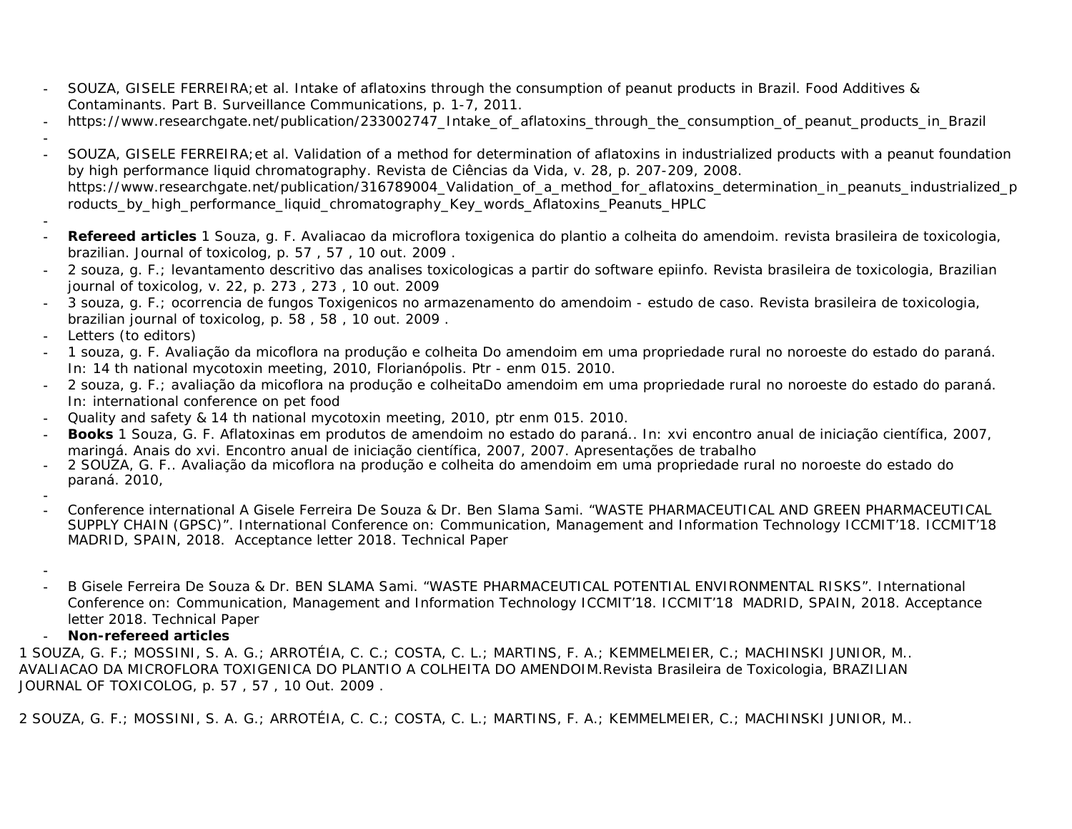- **-** SOUZA, GISELE FERREIRA;et al. Intake of aflatoxins through the consumption of peanut products in Brazil. Food Additives & Contaminants. Part B. Surveillance Communications, p. 1-7, 2011.
- **-** https://www.researchgate.net/publication/233002747\_Intake\_of\_aflatoxins\_through\_the\_consumption\_of\_peanut\_products\_in\_Brazil
- **- -** SOUZA, GISELE FERREIRA;et al. Validation of a method for determination of aflatoxins in industrialized products with a peanut foundation by high performance liquid chromatography. Revista de Ciências da Vida, v. 28, p. 207-209, 2008. https://www.researchgate.net/publication/316789004\_Validation\_of\_a\_method\_for\_aflatoxins\_determination\_in\_peanuts\_industrialized\_p roducts\_by\_high\_performance\_liquid\_chromatography\_Key\_words\_Aflatoxins\_Peanuts\_HPLC
- **- - Refereed articles** 1 Souza, g. F. Avaliacao da microflora toxigenica do plantio a colheita do amendoim. revista brasileira de toxicologia, brazilian. Journal of toxicolog, p. 57 , 57 , 10 out. 2009 .
- **-** 2 souza, g. F.; levantamento descritivo das analises toxicologicas a partir do software epiinfo. Revista brasileira de toxicologia, Brazilian journal of toxicolog, v. 22, p. 273 , 273 , 10 out. 2009
- **-** 3 souza, g. F.; ocorrencia de fungos Toxigenicos no armazenamento do amendoim estudo de caso. Revista brasileira de toxicologia, brazilian journal of toxicolog, p. 58 , 58 , 10 out. 2009 .
- **-** Letters (to editors)
- **-** 1 souza, g. F. Avaliação da micoflora na produção e colheita Do amendoim em uma propriedade rural no noroeste do estado do paraná. In: 14 th national mycotoxin meeting, 2010, Florianópolis. Ptr - enm 015. 2010.
- **-** 2 souza, g. F.; avaliação da micoflora na produção e colheitaDo amendoim em uma propriedade rural no noroeste do estado do paraná. In: international conference on pet food
- **-** Quality and safety & 14 th national mycotoxin meeting, 2010, ptr enm 015. 2010.
- **- Books** 1 Souza, G. F. Aflatoxinas em produtos de amendoim no estado do paraná.. In: xvi encontro anual de iniciação científica, 2007, maringá. Anais do xvi. Encontro anual de iniciação científica, 2007, 2007. Apresentações de trabalho
- **-** 2 SOUZA, G. F.. Avaliação da micoflora na produção e colheita do amendoim em uma propriedade rural no noroeste do estado do paraná. 2010,
- **- -** Conference international A Gisele Ferreira De Souza & Dr. Ben Slama Sami. "WASTE PHARMACEUTICAL AND GREEN PHARMACEUTICAL SUPPLY CHAIN (GPSC)". International Conference on: Communication, Management and Information Technology ICCMIT'18. ICCMIT'18 MADRID, SPAIN, 2018. Acceptance letter 2018. Technical Paper
- **- -** B Gisele Ferreira De Souza & Dr. BEN SLAMA Sami. "WASTE PHARMACEUTICAL POTENTIAL ENVIRONMENTAL RISKS". International Conference on: Communication, Management and Information Technology ICCMIT'18. ICCMIT'18 MADRID, SPAIN, 2018. Acceptance letter 2018. Technical Paper
- **- Non-refereed articles**

1 SOUZA, G. F.; MOSSINI, S. A. G.; ARROTÉIA, C. C.; COSTA, C. L.; MARTINS, F. A.; KEMMELMEIER, C.; MACHINSKI JUNIOR, M.. AVALIACAO DA MICROFLORA TOXIGENICA DO PLANTIO A COLHEITA DO AMENDOIM.Revista Brasileira de Toxicologia, BRAZILIAN JOURNAL OF TOXICOLOG, p. 57 , 57 , 10 Out. 2009 .

2 SOUZA, G. F.; MOSSINI, S. A. G.; ARROTÉIA, C. C.; COSTA, C. L.; MARTINS, F. A.; KEMMELMEIER, C.; MACHINSKI JUNIOR, M..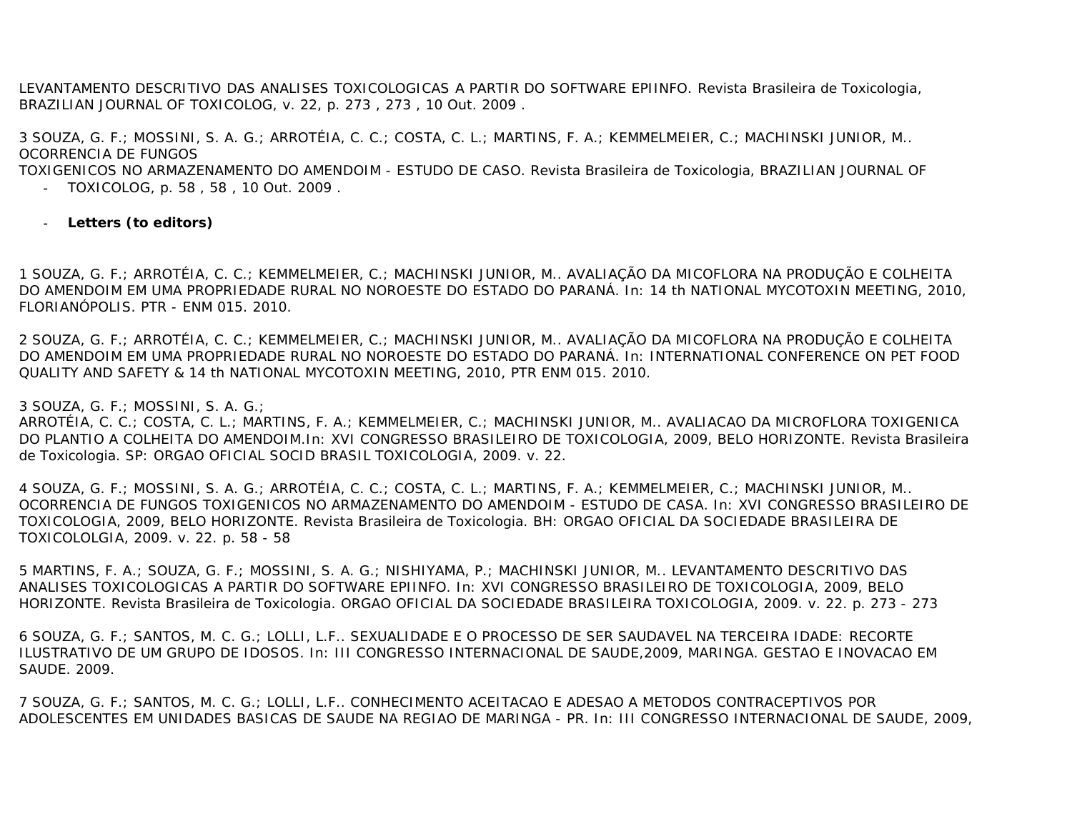LEVANTAMENTO DESCRITIVO DAS ANALISES TOXICOLOGICAS A PARTIR DO SOFTWARE EPIINFO. Revista Brasileira de Toxicologia, BRAZILIAN JOURNAL OF TOXICOLOG, v. 22, p. 273 , 273 , 10 Out. 2009 .

3 SOUZA, G. F.; MOSSINI, S. A. G.; ARROTÉIA, C. C.; COSTA, C. L.; MARTINS, F. A.; KEMMELMEIER, C.; MACHINSKI JUNIOR, M.. OCORRENCIA DE FUNGOS

TOXIGENICOS NO ARMAZENAMENTO DO AMENDOIM - ESTUDO DE CASO. Revista Brasileira de Toxicologia, BRAZILIAN JOURNAL OF

- **-** TOXICOLOG, p. 58 , 58 , 10 Out. 2009 .
- **- Letters (to editors)**

1 SOUZA, G. F.; ARROTÉIA, C. C.; KEMMELMEIER, C.; MACHINSKI JUNIOR, M.. AVALIAÇÃO DA MICOFLORA NA PRODUÇÃO E COLHEITA DO AMENDOIM EM UMA PROPRIEDADE RURAL NO NOROESTE DO ESTADO DO PARANÁ. In: 14 th NATIONAL MYCOTOXIN MEETING, 2010, FLORIANÓPOLIS. PTR - ENM 015. 2010.

2 SOUZA, G. F.; ARROTÉIA, C. C.; KEMMELMEIER, C.; MACHINSKI JUNIOR, M.. AVALIAÇÃO DA MICOFLORA NA PRODUÇÃO E COLHEITA DO AMENDOIM EM UMA PROPRIEDADE RURAL NO NOROESTE DO ESTADO DO PARANÁ. In: INTERNATIONAL CONFERENCE ON PET FOOD QUALITY AND SAFETY & 14 th NATIONAL MYCOTOXIN MEETING, 2010, PTR ENM 015. 2010.

3 SOUZA, G. F.; MOSSINI, S. A. G.;

ARROTÉIA, C. C.; COSTA, C. L.; MARTINS, F. A.; KEMMELMEIER, C.; MACHINSKI JUNIOR, M.. AVALIACAO DA MICROFLORA TOXIGENICA DO PLANTIO A COLHEITA DO AMENDOIM.In: XVI CONGRESSO BRASILEIRO DE TOXICOLOGIA, 2009, BELO HORIZONTE. Revista Brasileira de Toxicologia. SP: ORGAO OFICIAL SOCID BRASIL TOXICOLOGIA, 2009. v. 22.

4 SOUZA, G. F.; MOSSINI, S. A. G.; ARROTÉIA, C. C.; COSTA, C. L.; MARTINS, F. A.; KEMMELMEIER, C.; MACHINSKI JUNIOR, M.. OCORRENCIA DE FUNGOS TOXIGENICOS NO ARMAZENAMENTO DO AMENDOIM - ESTUDO DE CASA. In: XVI CONGRESSO BRASILEIRO DE TOXICOLOGIA, 2009, BELO HORIZONTE. Revista Brasileira de Toxicologia. BH: ORGAO OFICIAL DA SOCIEDADE BRASILEIRA DE TOXICOLOLGIA, 2009. v. 22. p. 58 - 58

5 MARTINS, F. A.; SOUZA, G. F.; MOSSINI, S. A. G.; NISHIYAMA, P.; MACHINSKI JUNIOR, M.. LEVANTAMENTO DESCRITIVO DAS ANALISES TOXICOLOGICAS A PARTIR DO SOFTWARE EPIINFO. In: XVI CONGRESSO BRASILEIRO DE TOXICOLOGIA, 2009, BELO HORIZONTE. Revista Brasileira de Toxicologia. ORGAO OFICIAL DA SOCIEDADE BRASILEIRA TOXICOLOGIA, 2009. v. 22. p. 273 - 273

6 SOUZA, G. F.; SANTOS, M. C. G.; LOLLI, L.F.. SEXUALIDADE E O PROCESSO DE SER SAUDAVEL NA TERCEIRA IDADE: RECORTE ILUSTRATIVO DE UM GRUPO DE IDOSOS. In: III CONGRESSO INTERNACIONAL DE SAUDE,2009, MARINGA. GESTAO E INOVACAO EM SAUDE. 2009.

7 SOUZA, G. F.; SANTOS, M. C. G.; LOLLI, L.F.. CONHECIMENTO ACEITACAO E ADESAO A METODOS CONTRACEPTIVOS POR ADOLESCENTES EM UNIDADES BASICAS DE SAUDE NA REGIAO DE MARINGA - PR. In: III CONGRESSO INTERNACIONAL DE SAUDE, 2009,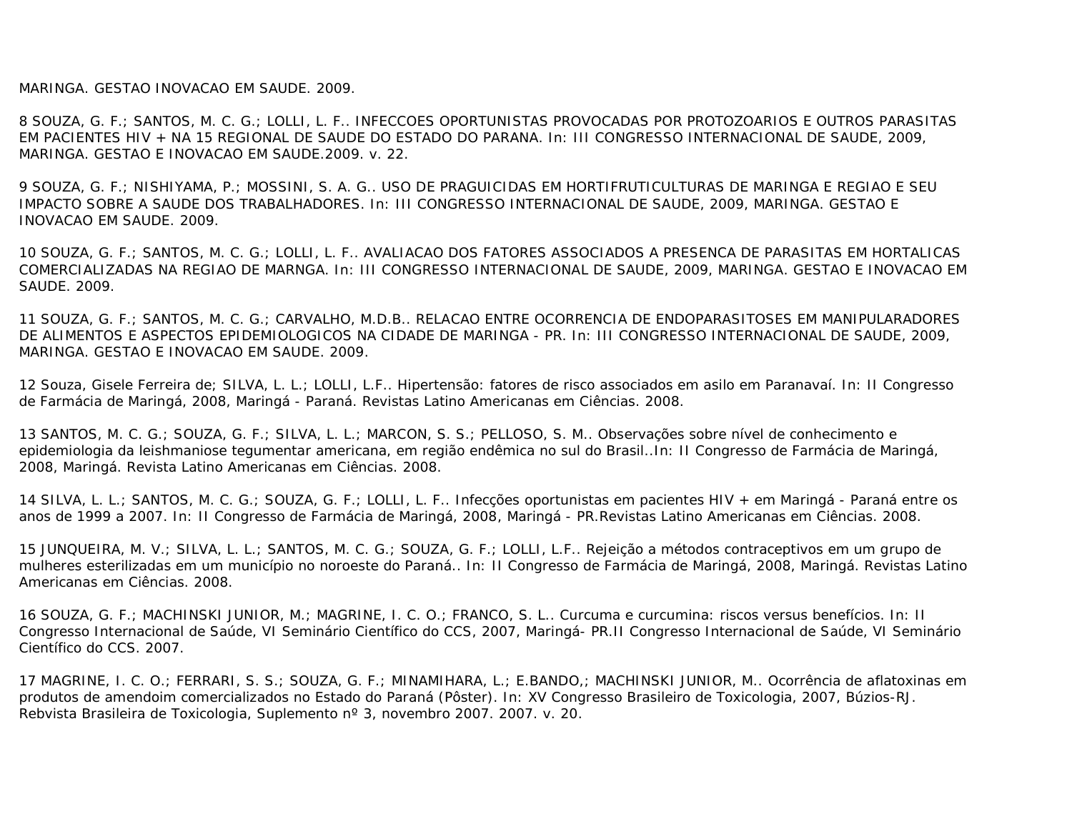MARINGA. GESTAO INOVACAO EM SAUDE. 2009.

8 SOUZA, G. F.; SANTOS, M. C. G.; LOLLI, L. F.. INFECCOES OPORTUNISTAS PROVOCADAS POR PROTOZOARIOS E OUTROS PARASITAS EM PACIENTES HIV + NA 15 REGIONAL DE SAUDE DO ESTADO DO PARANA. In: III CONGRESSO INTERNACIONAL DE SAUDE, 2009, MARINGA. GESTAO E INOVACAO EM SAUDE.2009. v. 22.

9 SOUZA, G. F.; NISHIYAMA, P.; MOSSINI, S. A. G.. USO DE PRAGUICIDAS EM HORTIFRUTICULTURAS DE MARINGA E REGIAO E SEU IMPACTO SOBRE A SAUDE DOS TRABALHADORES. In: III CONGRESSO INTERNACIONAL DE SAUDE, 2009, MARINGA. GESTAO E INOVACAO EM SAUDE. 2009.

10 SOUZA, G. F.; SANTOS, M. C. G.; LOLLI, L. F.. AVALIACAO DOS FATORES ASSOCIADOS A PRESENCA DE PARASITAS EM HORTALICAS COMERCIALIZADAS NA REGIAO DE MARNGA. In: III CONGRESSO INTERNACIONAL DE SAUDE, 2009, MARINGA. GESTAO E INOVACAO EM SAUDE. 2009.

11 SOUZA, G. F.; SANTOS, M. C. G.; CARVALHO, M.D.B.. RELACAO ENTRE OCORRENCIA DE ENDOPARASITOSES EM MANIPULARADORES DE ALIMENTOS E ASPECTOS EPIDEMIOLOGICOS NA CIDADE DE MARINGA - PR. In: III CONGRESSO INTERNACIONAL DE SAUDE, 2009, MARINGA. GESTAO E INOVACAO EM SAUDE. 2009.

12 Souza, Gisele Ferreira de; SILVA, L. L.; LOLLI, L.F.. Hipertensão: fatores de risco associados em asilo em Paranavaí. In: II Congresso de Farmácia de Maringá, 2008, Maringá - Paraná. Revistas Latino Americanas em Ciências. 2008.

13 SANTOS, M. C. G.; SOUZA, G. F.; SILVA, L. L.; MARCON, S. S.; PELLOSO, S. M.. Observações sobre nível de conhecimento e epidemiologia da leishmaniose tegumentar americana, em região endêmica no sul do Brasil..In: II Congresso de Farmácia de Maringá, 2008, Maringá. Revista Latino Americanas em Ciências. 2008.

14 SILVA, L. L.; SANTOS, M. C. G.; SOUZA, G. F.; LOLLI, L. F.. Infecções oportunistas em pacientes HIV + em Maringá - Paraná entre os anos de 1999 a 2007. In: II Congresso de Farmácia de Maringá, 2008, Maringá - PR.Revistas Latino Americanas em Ciências. 2008.

15 JUNQUEIRA, M. V.; SILVA, L. L.; SANTOS, M. C. G.; SOUZA, G. F.; LOLLI, L.F.. Rejeição a métodos contraceptivos em um grupo de mulheres esterilizadas em um município no noroeste do Paraná.. In: II Congresso de Farmácia de Maringá, 2008, Maringá. Revistas Latino Americanas em Ciências. 2008.

16 SOUZA, G. F.; MACHINSKI JUNIOR, M.; MAGRINE, I. C. O.; FRANCO, S. L.. Curcuma e curcumina: riscos versus benefícios. In: II Congresso Internacional de Saúde, VI Seminário Científico do CCS, 2007, Maringá- PR.II Congresso Internacional de Saúde, VI Seminário Científico do CCS. 2007.

17 MAGRINE, I. C. O.; FERRARI, S. S.; SOUZA, G. F.; MINAMIHARA, L.; E.BANDO,; MACHINSKI JUNIOR, M.. Ocorrência de aflatoxinas em produtos de amendoim comercializados no Estado do Paraná (Pôster). In: XV Congresso Brasileiro de Toxicologia, 2007, Búzios-RJ. Rebvista Brasileira de Toxicologia, Suplemento nº 3, novembro 2007. 2007. v. 20.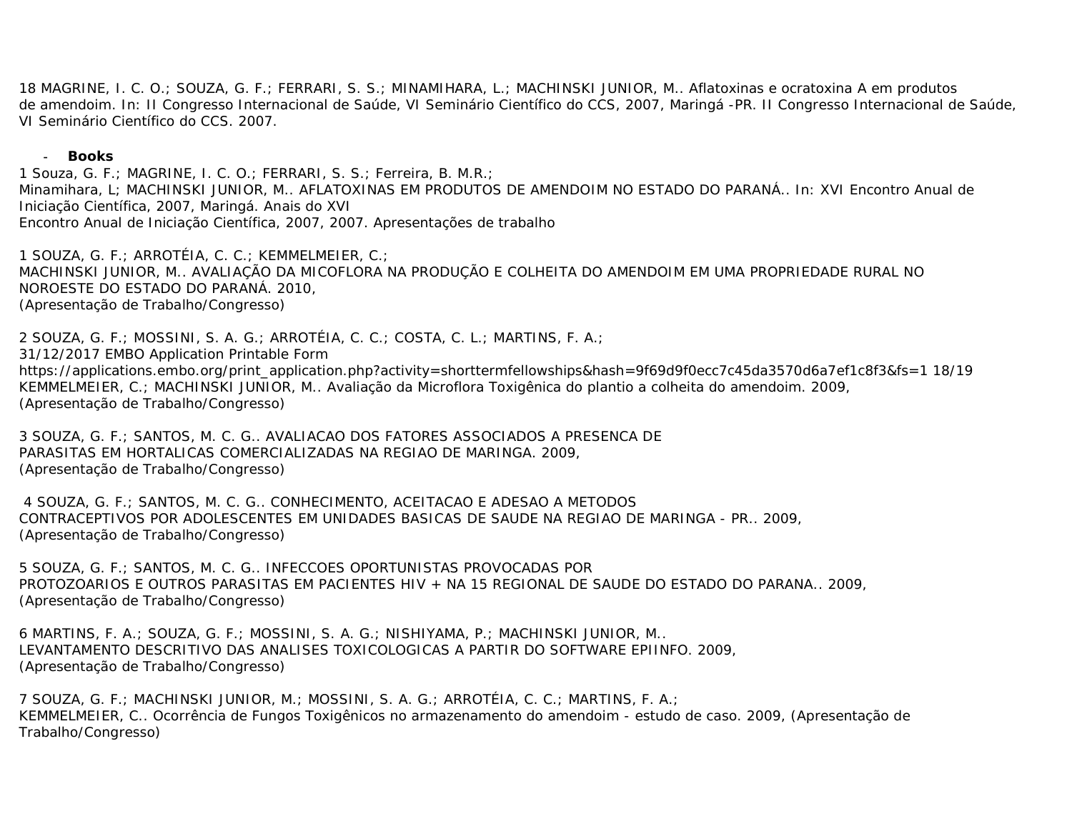18 MAGRINE, I. C. O.; SOUZA, G. F.; FERRARI, S. S.; MINAMIHARA, L.; MACHINSKI JUNIOR, M.. Aflatoxinas e ocratoxina A em produtos de amendoim. In: II Congresso Internacional de Saúde, VI Seminário Científico do CCS, 2007, Maringá -PR. II Congresso Internacional de Saúde, VI Seminário Científico do CCS. 2007.

**- Books**

1 Souza, G. F.; MAGRINE, I. C. O.; FERRARI, S. S.; Ferreira, B. M.R.; Minamihara, L; MACHINSKI JUNIOR, M.. AFLATOXINAS EM PRODUTOS DE AMENDOIM NO ESTADO DO PARANÁ.. In: XVI Encontro Anual de Iniciação Científica, 2007, Maringá. Anais do XVI Encontro Anual de Iniciação Científica, 2007, 2007. Apresentações de trabalho

1 SOUZA, G. F.; ARROTÉIA, C. C.; KEMMELMEIER, C.; MACHINSKI JUNIOR, M.. AVALIAÇÃO DA MICOFLORA NA PRODUÇÃO E COLHEITA DO AMENDOIM EM UMA PROPRIEDADE RURAL NO NOROESTE DO ESTADO DO PARANÁ. 2010, (Apresentação de Trabalho/Congresso)

2 SOUZA, G. F.; MOSSINI, S. A. G.; ARROTÉIA, C. C.; COSTA, C. L.; MARTINS, F. A.; 31/12/2017 EMBO Application Printable Form https://applications.embo.org/print\_application.php?activity=shorttermfellowships&hash=9f69d9f0ecc7c45da3570d6a7ef1c8f3&fs=1 18/19 KEMMELMEIER, C.; MACHINSKI JUNIOR, M.. Avaliação da Microflora Toxigênica do plantio a colheita do amendoim. 2009, (Apresentação de Trabalho/Congresso)

3 SOUZA, G. F.; SANTOS, M. C. G.. AVALIACAO DOS FATORES ASSOCIADOS A PRESENCA DE PARASITAS EM HORTALICAS COMERCIALIZADAS NA REGIAO DE MARINGA. 2009, (Apresentação de Trabalho/Congresso)

4 SOUZA, G. F.; SANTOS, M. C. G.. CONHECIMENTO, ACEITACAO E ADESAO A METODOS CONTRACEPTIVOS POR ADOLESCENTES EM UNIDADES BASICAS DE SAUDE NA REGIAO DE MARINGA - PR.. 2009, (Apresentação de Trabalho/Congresso)

5 SOUZA, G. F.; SANTOS, M. C. G.. INFECCOES OPORTUNISTAS PROVOCADAS POR PROTOZOARIOS E OUTROS PARASITAS EM PACIENTES HIV + NA 15 REGIONAL DE SAUDE DO ESTADO DO PARANA.. 2009, (Apresentação de Trabalho/Congresso)

6 MARTINS, F. A.; SOUZA, G. F.; MOSSINI, S. A. G.; NISHIYAMA, P.; MACHINSKI JUNIOR, M.. LEVANTAMENTO DESCRITIVO DAS ANALISES TOXICOLOGICAS A PARTIR DO SOFTWARE EPIINFO. 2009, (Apresentação de Trabalho/Congresso)

7 SOUZA, G. F.; MACHINSKI JUNIOR, M.; MOSSINI, S. A. G.; ARROTÉIA, C. C.; MARTINS, F. A.; KEMMELMEIER, C.. Ocorrência de Fungos Toxigênicos no armazenamento do amendoim - estudo de caso. 2009, (Apresentação de Trabalho/Congresso)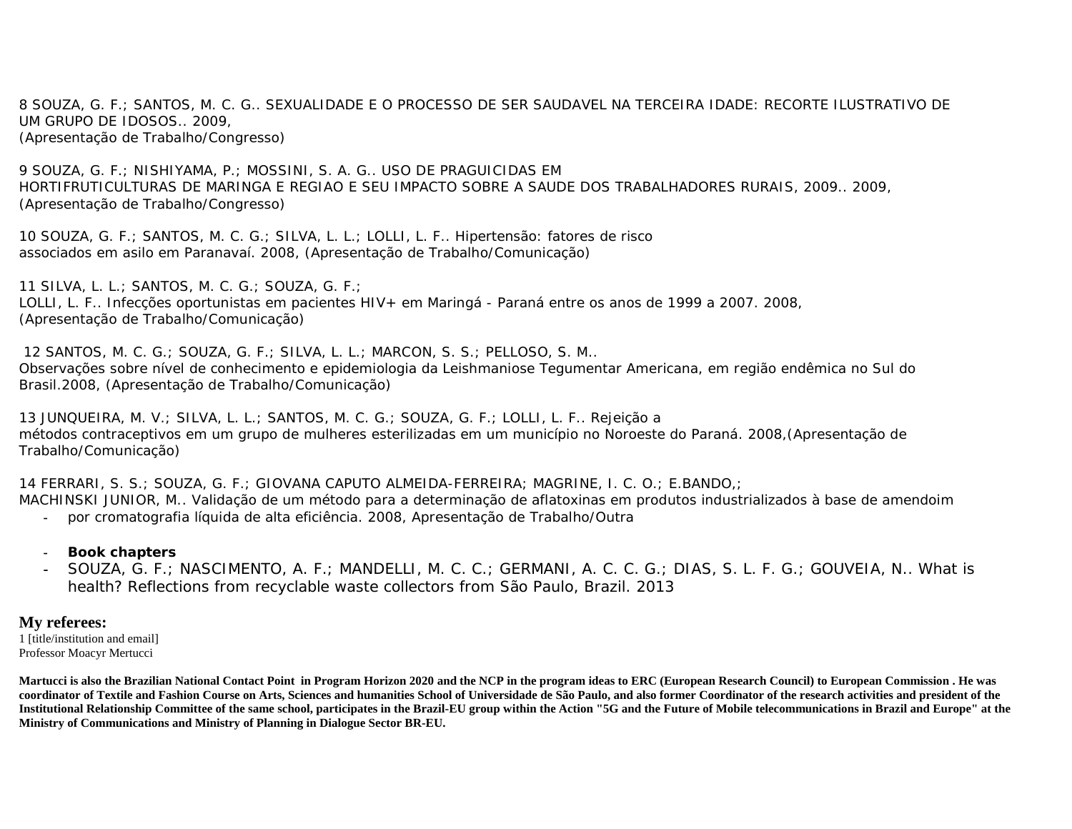8 SOUZA, G. F.; SANTOS, M. C. G.. SEXUALIDADE E O PROCESSO DE SER SAUDAVEL NA TERCEIRA IDADE: RECORTE ILUSTRATIVO DE UM GRUPO DE IDOSOS.. 2009, (Apresentação de Trabalho/Congresso)

9 SOUZA, G. F.; NISHIYAMA, P.; MOSSINI, S. A. G.. USO DE PRAGUICIDAS EM HORTIFRUTICULTURAS DE MARINGA E REGIAO E SEU IMPACTO SOBRE A SAUDE DOS TRABALHADORES RURAIS, 2009.. 2009, (Apresentação de Trabalho/Congresso)

10 SOUZA, G. F.; SANTOS, M. C. G.; SILVA, L. L.; LOLLI, L. F.. Hipertensão: fatores de risco associados em asilo em Paranavaí. 2008, (Apresentação de Trabalho/Comunicação)

11 SILVA, L. L.; SANTOS, M. C. G.; SOUZA, G. F.; LOLLI, L. F.. Infecções oportunistas em pacientes HIV+ em Maringá - Paraná entre os anos de 1999 a 2007. 2008, (Apresentação de Trabalho/Comunicação)

12 SANTOS, M. C. G.; SOUZA, G. F.; SILVA, L. L.; MARCON, S. S.; PELLOSO, S. M.. Observações sobre nível de conhecimento e epidemiologia da Leishmaniose Tegumentar Americana, em região endêmica no Sul do Brasil.2008, (Apresentação de Trabalho/Comunicação)

13 JUNQUEIRA, M. V.; SILVA, L. L.; SANTOS, M. C. G.; SOUZA, G. F.; LOLLI, L. F.. Rejeição a métodos contraceptivos em um grupo de mulheres esterilizadas em um município no Noroeste do Paraná. 2008,(Apresentação de Trabalho/Comunicação)

14 FERRARI, S. S.; SOUZA, G. F.; GIOVANA CAPUTO ALMEIDA-FERREIRA; MAGRINE, I. C. O.; E.BANDO,; MACHINSKI JUNIOR, M.. Validação de um método para a determinação de aflatoxinas em produtos industrializados à base de amendoim

- **-** por cromatografia líquida de alta eficiência. 2008, Apresentação de Trabalho/Outra
- **- Book chapters**
- **-** SOUZA, G. F.; NASCIMENTO, A. F.; MANDELLI, M. C. C.; GERMANI, A. C. C. G.; DIAS, S. L. F. G.; GOUVEIA, N.. What is health? Reflections from recyclable waste collectors from São Paulo, Brazil. 2013

## **My referees:**

1 [title/institution and email] Professor Moacyr Mertucci

**Martucci is also the Brazilian National Contact Point in Program Horizon 2020 and the NCP in the program ideas to ERC (European Research Council) to European Commission . He was coordinator of Textile and Fashion Course on Arts, Sciences and humanities School of Universidade de São Paulo, and also former Coordinator of the research activities and president of the Institutional Relationship Committee of the same school, participates in the Brazil-EU group within the Action "5G and the Future of Mobile telecommunications in Brazil and Europe" at the Ministry of Communications and Ministry of Planning in Dialogue Sector BR-EU.**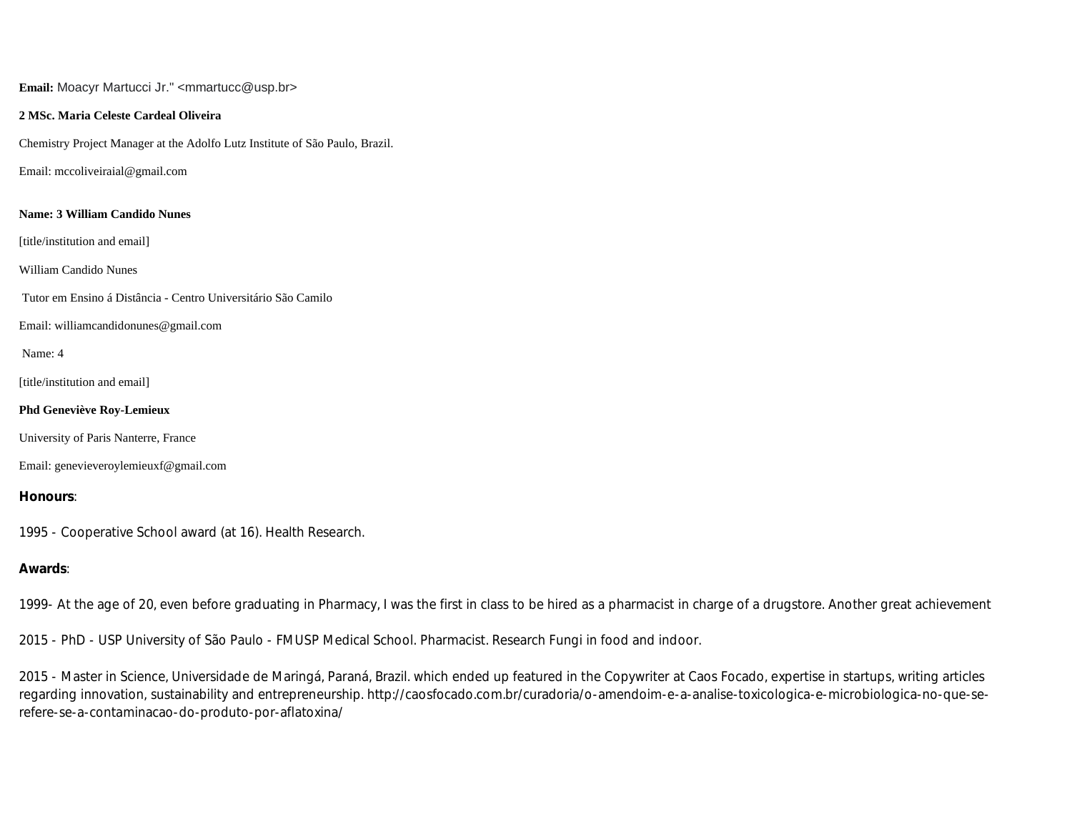**Email:** Moacyr Martucci Jr." <mmartucc@usp.br>

#### **2 MSc. Maria Celeste Cardeal Oliveira**

Chemistry Project Manager at the Adolfo Lutz Institute of São Paulo, Brazil.

Email: mccoliveiraial@gmail.com

#### **Name: 3 William Candido Nunes**

[title/institution and email]

William Candido Nunes

Tutor em Ensino á Distância - Centro Universitário São Camilo

Email: williamcandidonunes@gmail.com

Name: 4

[title/institution and email]

#### **Phd Geneviève Roy-Lemieux**

University of Paris Nanterre, France

Email: genevieveroylemieuxf@gmail.com

**Honours**:

1995 - Cooperative School award (at 16). Health Research.

## **Awards**:

1999- At the age of 20, even before graduating in Pharmacy, I was the first in class to be hired as a pharmacist in charge of a drugstore. Another great achievement

2015 - PhD - USP University of São Paulo - FMUSP Medical School. Pharmacist. Research Fungi in food and indoor.

2015 - Master in Science, Universidade de Maringá, Paraná, Brazil. which ended up featured in the Copywriter at Caos Focado, expertise in startups, writing articles regarding innovation, sustainability and entrepreneurship. http://caosfocado.com.br/curadoria/o-amendoim-e-a-analise-toxicologica-e-microbiologica-no-que-serefere-se-a-contaminacao-do-produto-por-aflatoxina/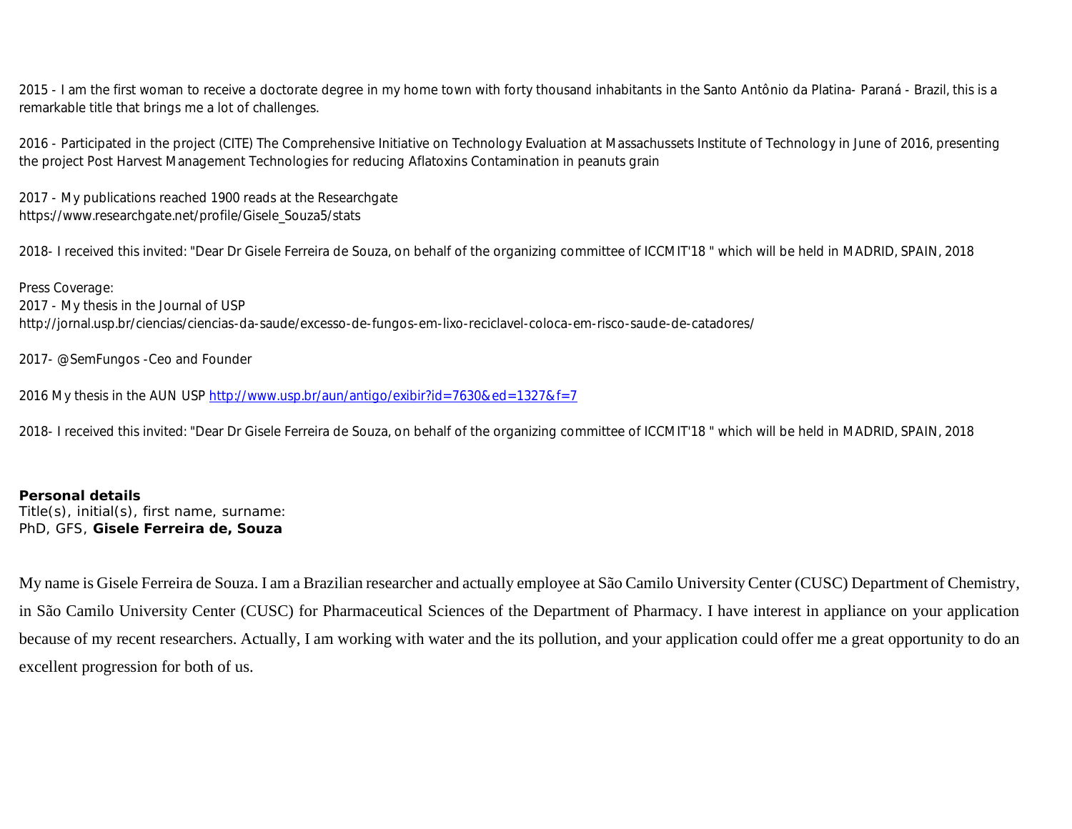2015 - I am the first woman to receive a doctorate degree in my home town with forty thousand inhabitants in the Santo Antônio da Platina- Paraná - Brazil, this is a remarkable title that brings me a lot of challenges.

2016 - Participated in the project (CITE) The Comprehensive Initiative on Technology Evaluation at Massachussets Institute of Technology in June of 2016, presenting the project Post Harvest Management Technologies for reducing Aflatoxins Contamination in peanuts grain

2017 - My publications reached 1900 reads at the Researchgate https://www.researchgate.net/profile/Gisele\_Souza5/stats

2018- I received this invited: "Dear Dr Gisele Ferreira de Souza, on behalf of the organizing committee of ICCMIT'18 " which will be held in MADRID, SPAIN, 2018

Press Coverage: 2017 - My thesis in the Journal of USP http://jornal.usp.br/ciencias/ciencias-da-saude/excesso-de-fungos-em-lixo-reciclavel-coloca-em-risco-saude-de-catadores/

2017- @SemFungos -Ceo and Founder

2016 My thesis in the AUN USP http://www.usp.br/aun/antigo/exibir?id=7630&ed=1327&f=7

2018- I received this invited: "Dear Dr Gisele Ferreira de Souza, on behalf of the organizing committee of ICCMIT'18 " which will be held in MADRID, SPAIN, 2018

**Personal details** Title(s), initial(s), first name, surname: PhD, GFS, **Gisele Ferreira de, Souza**

My name is Gisele Ferreira de Souza. I am a Brazilian researcher and actually employee at São Camilo University Center (CUSC) Department of Chemistry, in São Camilo University Center (CUSC) for Pharmaceutical Sciences of the Department of Pharmacy. I have interest in appliance on your application because of my recent researchers. Actually, I am working with water and the its pollution, and your application could offer me a great opportunity to do an excellent progression for both of us.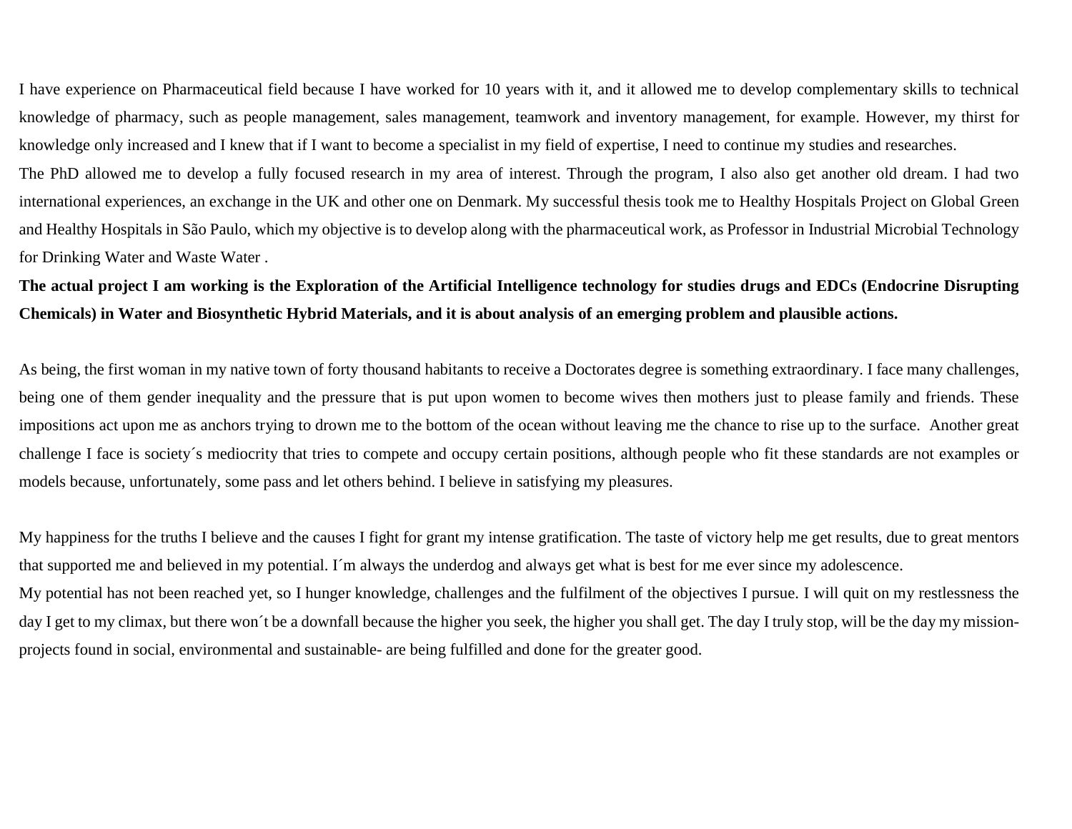I have experience on Pharmaceutical field because I have worked for 10 years with it, and it allowed me to develop complementary skills to technical knowledge of pharmacy, such as people management, sales management, teamwork and inventory management, for example. However, my thirst for knowledge only increased and I knew that if I want to become a specialist in my field of expertise, I need to continue my studies and researches.

The PhD allowed me to develop a fully focused research in my area of interest. Through the program, I also also get another old dream. I had two international experiences, an exchange in the UK and other one on Denmark. My successful thesis took me to Healthy Hospitals Project on Global Green and Healthy Hospitals in São Paulo, which my objective is to develop along with the pharmaceutical work, as Professor in Industrial Microbial Technology for Drinking Water and Waste Water .

**The actual project I am working is the Exploration of the Artificial Intelligence technology for studies drugs and EDCs (Endocrine Disrupting Chemicals) in Water and Biosynthetic Hybrid Materials, and it is about analysis of an emerging problem and plausible actions.** 

As being, the first woman in my native town of forty thousand habitants to receive a Doctorates degree is something extraordinary. I face many challenges, being one of them gender inequality and the pressure that is put upon women to become wives then mothers just to please family and friends. These impositions act upon me as anchors trying to drown me to the bottom of the ocean without leaving me the chance to rise up to the surface. Another great challenge I face is society´s mediocrity that tries to compete and occupy certain positions, although people who fit these standards are not examples or models because, unfortunately, some pass and let others behind. I believe in satisfying my pleasures.

My happiness for the truths I believe and the causes I fight for grant my intense gratification. The taste of victory help me get results, due to great mentors that supported me and believed in my potential. I´m always the underdog and always get what is best for me ever since my adolescence. My potential has not been reached yet, so I hunger knowledge, challenges and the fulfilment of the objectives I pursue. I will quit on my restlessness the day I get to my climax, but there won't be a downfall because the higher you seek, the higher you shall get. The day I truly stop, will be the day my missionprojects found in social, environmental and sustainable- are being fulfilled and done for the greater good.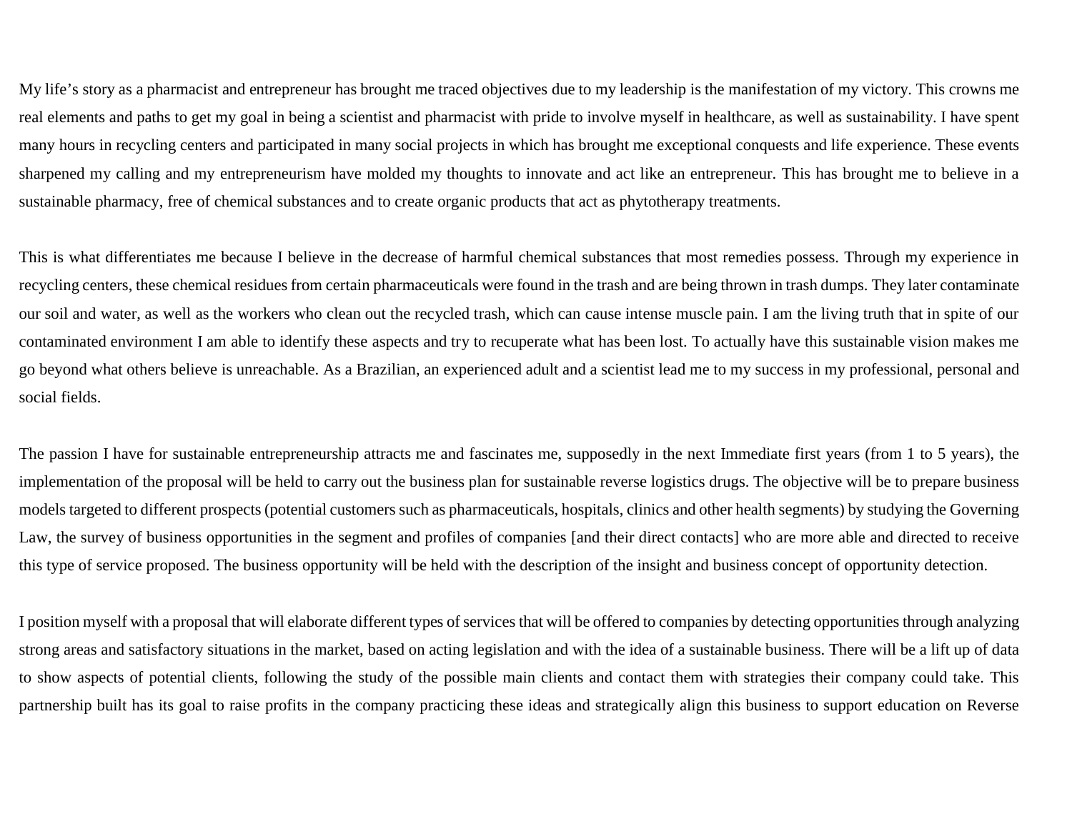My life's story as a pharmacist and entrepreneur has brought me traced objectives due to my leadership is the manifestation of my victory. This crowns me real elements and paths to get my goal in being a scientist and pharmacist with pride to involve myself in healthcare, as well as sustainability. I have spent many hours in recycling centers and participated in many social projects in which has brought me exceptional conquests and life experience. These events sharpened my calling and my entrepreneurism have molded my thoughts to innovate and act like an entrepreneur. This has brought me to believe in a sustainable pharmacy, free of chemical substances and to create organic products that act as phytotherapy treatments.

This is what differentiates me because I believe in the decrease of harmful chemical substances that most remedies possess. Through my experience in recycling centers, these chemical residues from certain pharmaceuticals were found in the trash and are being thrown in trash dumps. They later contaminate our soil and water, as well as the workers who clean out the recycled trash, which can cause intense muscle pain. I am the living truth that in spite of our contaminated environment I am able to identify these aspects and try to recuperate what has been lost. To actually have this sustainable vision makes me go beyond what others believe is unreachable. As a Brazilian, an experienced adult and a scientist lead me to my success in my professional, personal and social fields.

The passion I have for sustainable entrepreneurship attracts me and fascinates me, supposedly in the next Immediate first years (from 1 to 5 years), the implementation of the proposal will be held to carry out the business plan for sustainable reverse logistics drugs. The objective will be to prepare business models targeted to different prospects (potential customers such as pharmaceuticals, hospitals, clinics and other health segments) by studying the Governing Law, the survey of business opportunities in the segment and profiles of companies [and their direct contacts] who are more able and directed to receive this type of service proposed. The business opportunity will be held with the description of the insight and business concept of opportunity detection.

I position myself with a proposal that will elaborate different types of services that will be offered to companies by detecting opportunities through analyzing strong areas and satisfactory situations in the market, based on acting legislation and with the idea of a sustainable business. There will be a lift up of data to show aspects of potential clients, following the study of the possible main clients and contact them with strategies their company could take. This partnership built has its goal to raise profits in the company practicing these ideas and strategically align this business to support education on Reverse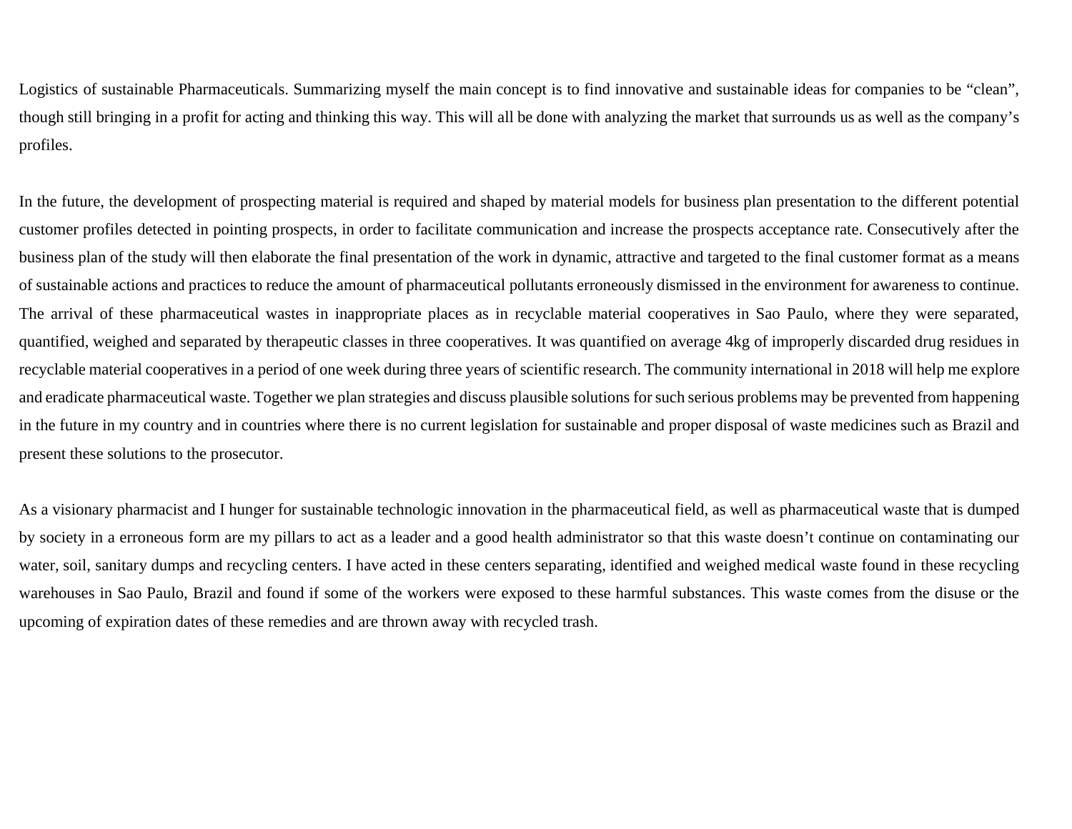Logistics of sustainable Pharmaceuticals. Summarizing myself the main concept is to find innovative and sustainable ideas for companies to be "clean", though still bringing in a profit for acting and thinking this way. This will all be done with analyzing the market that surrounds us as well as the company's profiles.

In the future, the development of prospecting material is required and shaped by material models for business plan presentation to the different potential customer profiles detected in pointing prospects, in order to facilitate communication and increase the prospects acceptance rate. Consecutively after the business plan of the study will then elaborate the final presentation of the work in dynamic, attractive and targeted to the final customer format as a means of sustainable actions and practices to reduce the amount of pharmaceutical pollutants erroneously dismissed in the environment for awareness to continue. The arrival of these pharmaceutical wastes in inappropriate places as in recyclable material cooperatives in Sao Paulo, where they were separated, quantified, weighed and separated by therapeutic classes in three cooperatives. It was quantified on average 4kg of improperly discarded drug residues in recyclable material cooperatives in a period of one week during three years of scientific research. The community international in 2018 will help me explore and eradicate pharmaceutical waste. Together we plan strategies and discuss plausible solutions for such serious problems may be prevented from happening in the future in my country and in countries where there is no current legislation for sustainable and proper disposal of waste medicines such as Brazil and present these solutions to the prosecutor.

As a visionary pharmacist and I hunger for sustainable technologic innovation in the pharmaceutical field, as well as pharmaceutical waste that is dumped by society in a erroneous form are my pillars to act as a leader and a good health administrator so that this waste doesn't continue on contaminating our water, soil, sanitary dumps and recycling centers. I have acted in these centers separating, identified and weighed medical waste found in these recycling warehouses in Sao Paulo, Brazil and found if some of the workers were exposed to these harmful substances. This waste comes from the disuse or the upcoming of expiration dates of these remedies and are thrown away with recycled trash.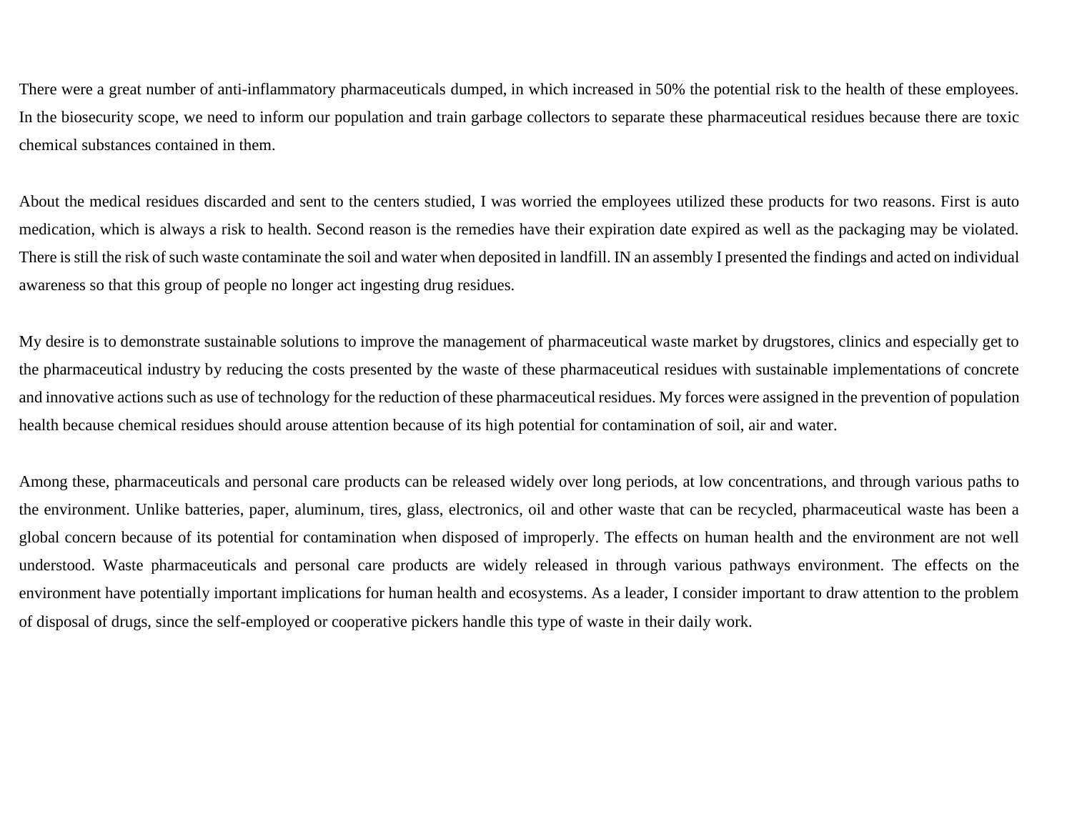There were a great number of anti-inflammatory pharmaceuticals dumped, in which increased in 50% the potential risk to the health of these employees. In the biosecurity scope, we need to inform our population and train garbage collectors to separate these pharmaceutical residues because there are toxic chemical substances contained in them.

About the medical residues discarded and sent to the centers studied, I was worried the employees utilized these products for two reasons. First is auto medication, which is always a risk to health. Second reason is the remedies have their expiration date expired as well as the packaging may be violated. There is still the risk of such waste contaminate the soil and water when deposited in landfill. IN an assembly I presented the findings and acted on individual awareness so that this group of people no longer act ingesting drug residues.

My desire is to demonstrate sustainable solutions to improve the management of pharmaceutical waste market by drugstores, clinics and especially get to the pharmaceutical industry by reducing the costs presented by the waste of these pharmaceutical residues with sustainable implementations of concrete and innovative actions such as use of technology for the reduction of these pharmaceutical residues. My forces were assigned in the prevention of population health because chemical residues should arouse attention because of its high potential for contamination of soil, air and water.

Among these, pharmaceuticals and personal care products can be released widely over long periods, at low concentrations, and through various paths to the environment. Unlike batteries, paper, aluminum, tires, glass, electronics, oil and other waste that can be recycled, pharmaceutical waste has been a global concern because of its potential for contamination when disposed of improperly. The effects on human health and the environment are not well understood. Waste pharmaceuticals and personal care products are widely released in through various pathways environment. The effects on the environment have potentially important implications for human health and ecosystems. As a leader, I consider important to draw attention to the problem of disposal of drugs, since the self-employed or cooperative pickers handle this type of waste in their daily work.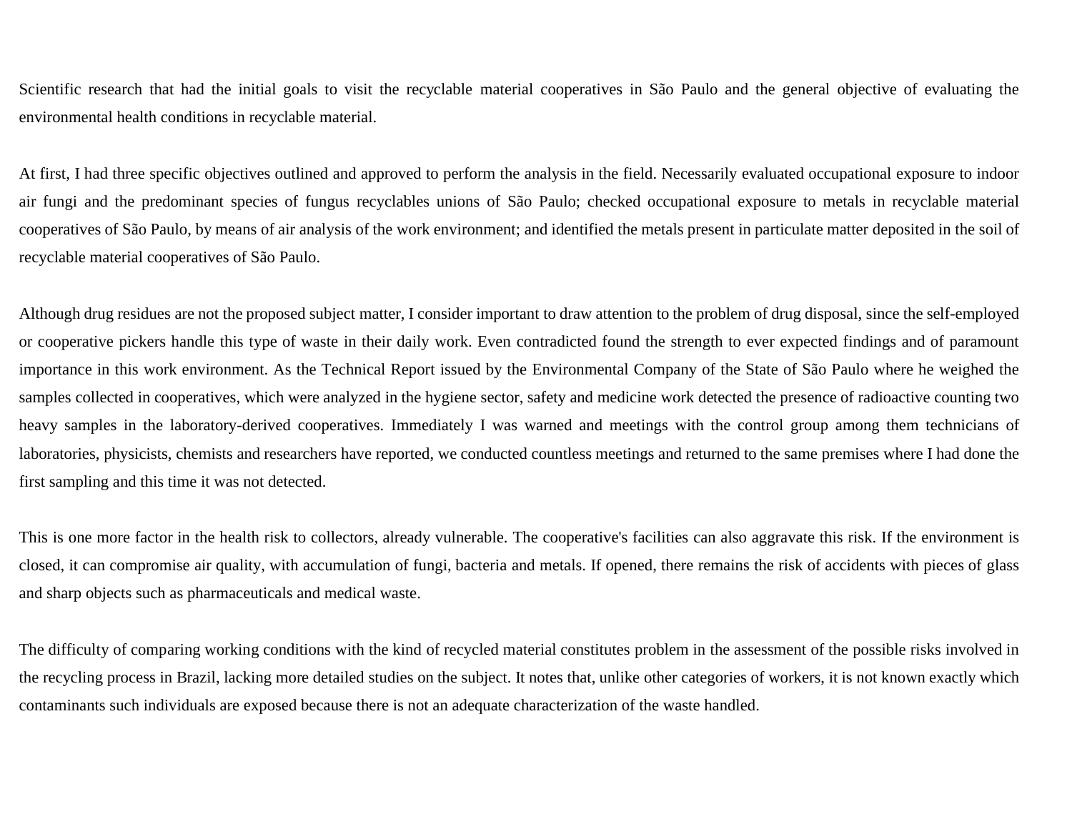Scientific research that had the initial goals to visit the recyclable material cooperatives in São Paulo and the general objective of evaluating the environmental health conditions in recyclable material.

At first, I had three specific objectives outlined and approved to perform the analysis in the field. Necessarily evaluated occupational exposure to indoor air fungi and the predominant species of fungus recyclables unions of São Paulo; checked occupational exposure to metals in recyclable material cooperatives of São Paulo, by means of air analysis of the work environment; and identified the metals present in particulate matter deposited in the soil of recyclable material cooperatives of São Paulo.

Although drug residues are not the proposed subject matter, I consider important to draw attention to the problem of drug disposal, since the self-employed or cooperative pickers handle this type of waste in their daily work. Even contradicted found the strength to ever expected findings and of paramount importance in this work environment. As the Technical Report issued by the Environmental Company of the State of São Paulo where he weighed the samples collected in cooperatives, which were analyzed in the hygiene sector, safety and medicine work detected the presence of radioactive counting two heavy samples in the laboratory-derived cooperatives. Immediately I was warned and meetings with the control group among them technicians of laboratories, physicists, chemists and researchers have reported, we conducted countless meetings and returned to the same premises where I had done the first sampling and this time it was not detected.

This is one more factor in the health risk to collectors, already vulnerable. The cooperative's facilities can also aggravate this risk. If the environment is closed, it can compromise air quality, with accumulation of fungi, bacteria and metals. If opened, there remains the risk of accidents with pieces of glass and sharp objects such as pharmaceuticals and medical waste.

The difficulty of comparing working conditions with the kind of recycled material constitutes problem in the assessment of the possible risks involved in the recycling process in Brazil, lacking more detailed studies on the subject. It notes that, unlike other categories of workers, it is not known exactly which contaminants such individuals are exposed because there is not an adequate characterization of the waste handled.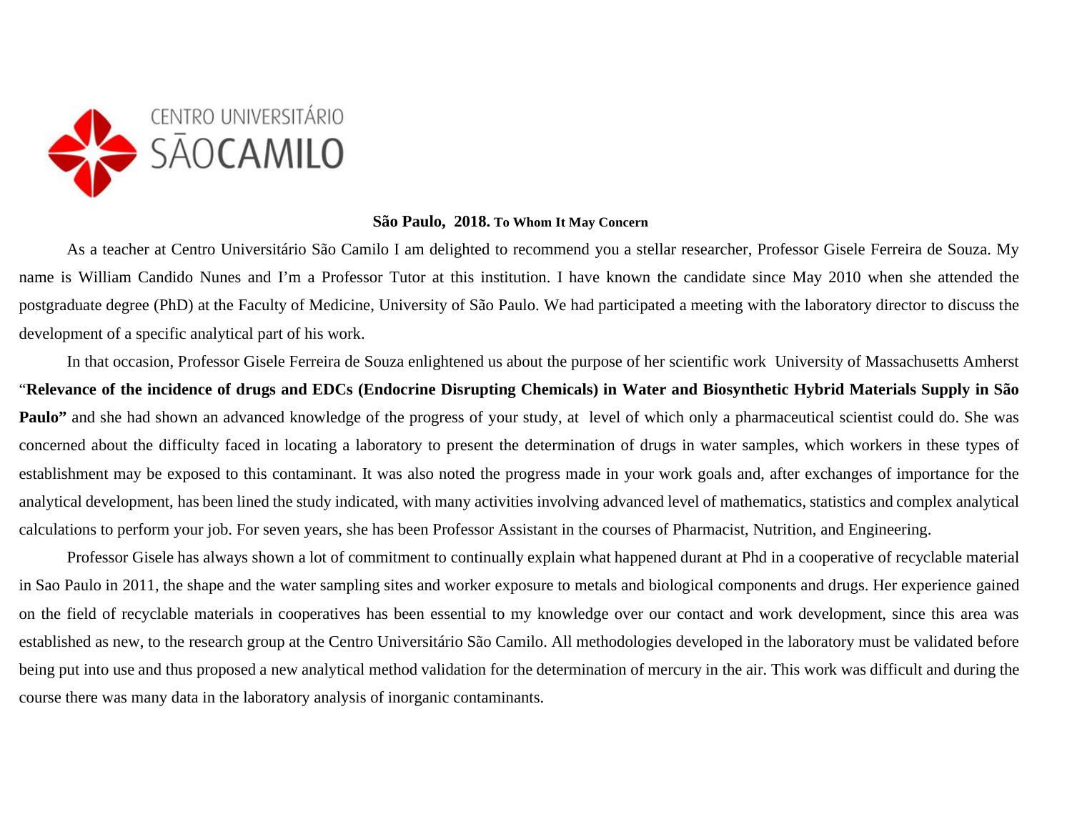

## **São Paulo, 2018. To Whom It May Concern**

As a teacher at Centro Universitário São Camilo I am delighted to recommend you a stellar researcher, Professor Gisele Ferreira de Souza. My name is William Candido Nunes and I'm a Professor Tutor at this institution. I have known the candidate since May 2010 when she attended the postgraduate degree (PhD) at the Faculty of Medicine, University of São Paulo. We had participated a meeting with the laboratory director to discuss the development of a specific analytical part of his work.

In that occasion, Professor Gisele Ferreira de Souza enlightened us about the purpose of her scientific work University of Massachusetts Amherst "**Relevance of the incidence of drugs and EDCs (Endocrine Disrupting Chemicals) in Water and Biosynthetic Hybrid Materials Supply in São Paulo**" and she had shown an advanced knowledge of the progress of your study, at level of which only a pharmaceutical scientist could do. She was concerned about the difficulty faced in locating a laboratory to present the determination of drugs in water samples, which workers in these types of establishment may be exposed to this contaminant. It was also noted the progress made in your work goals and, after exchanges of importance for the analytical development, has been lined the study indicated, with many activities involving advanced level of mathematics, statistics and complex analytical calculations to perform your job. For seven years, she has been Professor Assistant in the courses of Pharmacist, Nutrition, and Engineering.

Professor Gisele has always shown a lot of commitment to continually explain what happened durant at Phd in a cooperative of recyclable material in Sao Paulo in 2011, the shape and the water sampling sites and worker exposure to metals and biological components and drugs. Her experience gained on the field of recyclable materials in cooperatives has been essential to my knowledge over our contact and work development, since this area was established as new, to the research group at the Centro Universitário São Camilo. All methodologies developed in the laboratory must be validated before being put into use and thus proposed a new analytical method validation for the determination of mercury in the air. This work was difficult and during the course there was many data in the laboratory analysis of inorganic contaminants.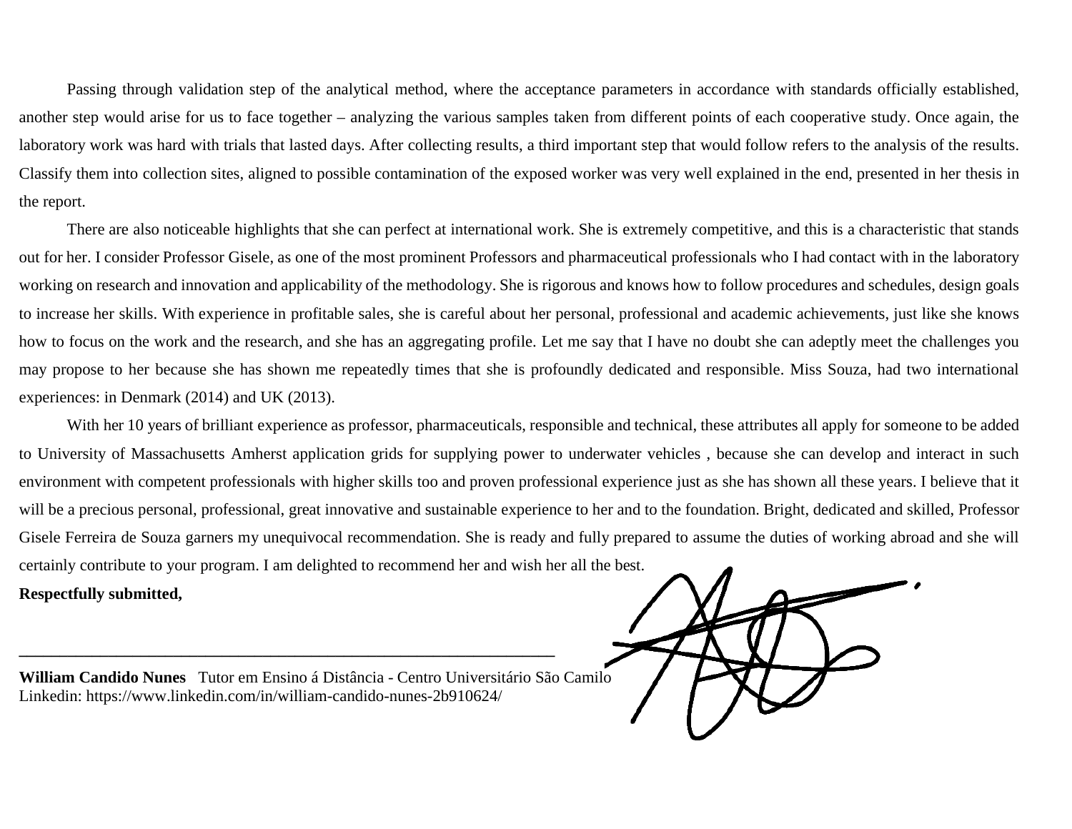Passing through validation step of the analytical method, where the acceptance parameters in accordance with standards officially established, another step would arise for us to face together – analyzing the various samples taken from different points of each cooperative study. Once again, the laboratory work was hard with trials that lasted days. After collecting results, a third important step that would follow refers to the analysis of the results. Classify them into collection sites, aligned to possible contamination of the exposed worker was very well explained in the end, presented in her thesis in the report.

There are also noticeable highlights that she can perfect at international work. She is extremely competitive, and this is a characteristic that stands out for her. I consider Professor Gisele, as one of the most prominent Professors and pharmaceutical professionals who I had contact with in the laboratory working on research and innovation and applicability of the methodology. She is rigorous and knows how to follow procedures and schedules, design goals to increase her skills. With experience in profitable sales, she is careful about her personal, professional and academic achievements, just like she knows how to focus on the work and the research, and she has an aggregating profile. Let me say that I have no doubt she can adeptly meet the challenges you may propose to her because she has shown me repeatedly times that she is profoundly dedicated and responsible. Miss Souza, had two international experiences: in Denmark (2014) and UK (2013).

With her 10 years of brilliant experience as professor, pharmaceuticals, responsible and technical, these attributes all apply for someone to be added to University of Massachusetts Amherst application grids for supplying power to underwater vehicles , because she can develop and interact in such environment with competent professionals with higher skills too and proven professional experience just as she has shown all these years. I believe that it will be a precious personal, professional, great innovative and sustainable experience to her and to the foundation. Bright, dedicated and skilled, Professor Gisele Ferreira de Souza garners my unequivocal recommendation. She is ready and fully prepared to assume the duties of working abroad and she will certainly contribute to your program. I am delighted to recommend her and wish her all the best. **Respectfully submitted,**

**William Candido Nunes** Tutor em Ensino á Distância - Centro Universitário São Camilo Linkedin: https://www.linkedin.com/in/william-candido-nunes-2b910624/

**\_\_\_\_\_\_\_\_\_\_\_\_\_\_\_\_\_\_\_\_\_\_\_\_\_\_\_\_\_\_\_\_\_\_\_\_\_\_\_\_\_\_\_\_\_\_\_\_\_\_\_\_\_\_\_\_\_\_\_\_\_\_\_\_\_\_**

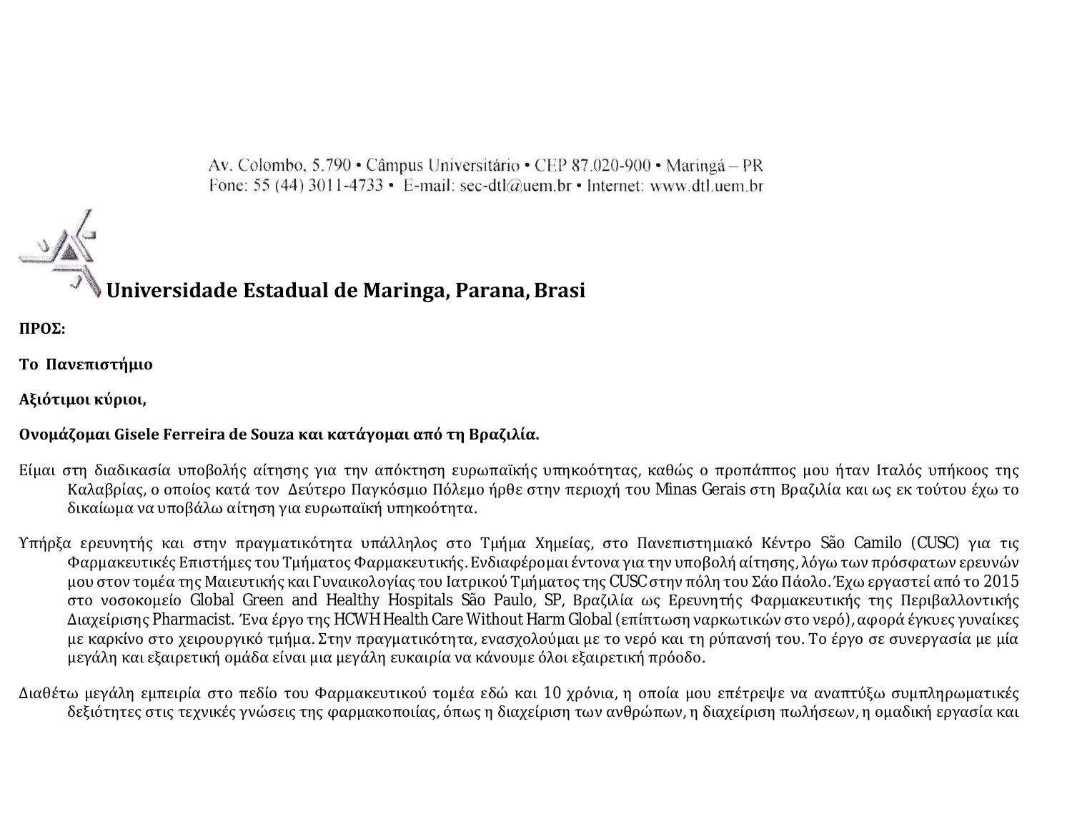Av. Colombo, 5.790 • Câmpus Universitário • CEP 87.020-900 • Maringá – PR Fone: 55 (44) 3011-4733 • E-mail: sec-dtl@uem.br • Internet: www.dtl.uem.br



# **Universidade Estadual de Maringa, Parana,Brasi**

**ΠΡΟΣ:** 

**Το Πανεπιστήμιο** 

**Αξιότιμοι κύριοι,**

## **Ονομάζομαι Gisele Ferreira de Souza και κατάγομαι από τη Βραζιλία.**

- Είμαι στη διαδικασία υποβολής αίτησης για την απόκτηση ευρωπαϊκής υπηκοότητας, καθώς ο προπάππος μου ήταν Ιταλός υπήκοος της Καλαβρίας, ο οποίος κατά τον Δεύτερο Παγκόσμιο Πόλεμο ήρθε στην περιοχή του Minas Gerais στη Βραζιλία και ως εκ τούτου έχω το δικαίωμα να υποβάλω αίτηση για ευρωπαϊκή υπηκοότητα.
- Υπήρξα ερευνητής και στην πραγματικότητα υπάλληλος στο Τμήμα Χημείας, στο Πανεπιστημιακό Κέντρο São Camilo (CUSC) για τις Φαρμακευτικές Επιστήμες του Τμήματος Φαρμακευτικής. Ενδιαφέρομαι έντονα για την υποβολή αίτησης, λόγω των πρόσφατων ερευνών μου στον τομέα της Μαιευτικής και Γυναικολογίας του Ιατρικού Τμήματος της CUSC στην πόλη του Σάο Πάολο. Έχω εργαστεί από το 2015 στο νοσοκομείο Global Green and Healthy Hospitals São Paulo, SP, Βραζιλία ως Ερευνητής Φαρμακευτικής της Περιβαλλοντικής Διαχείρισης Pharmacist. Ένα έργο της HCWH Health Care Without Harm Global (επίπτωση ναρκωτικών στο νερό), αφορά έγκυες γυναίκες με καρκίνο στο χειρουργικό τμήμα. Στην πραγματικότητα, ενασχολούμαι με το νερό και τη ρύπανσή του. Το έργο σε συνεργασία με μία μεγάλη και εξαιρετική ομάδα είναι μια μεγάλη ευκαιρία να κάνουμε όλοι εξαιρετική πρόοδο.
- Διαθέτω μεγάλη εμπειρία στο πεδίο του Φαρμακευτικού τομέα εδώ και 10 χρόνια, η οποία μου επέτρεψε να αναπτύξω συμπληρωματικές δεξιότητες στις τεχνικές γνώσεις της φαρμακοποιίας, όπως η διαχείριση των ανθρώπων, η διαχείριση πωλήσεων, η ομαδική εργασία και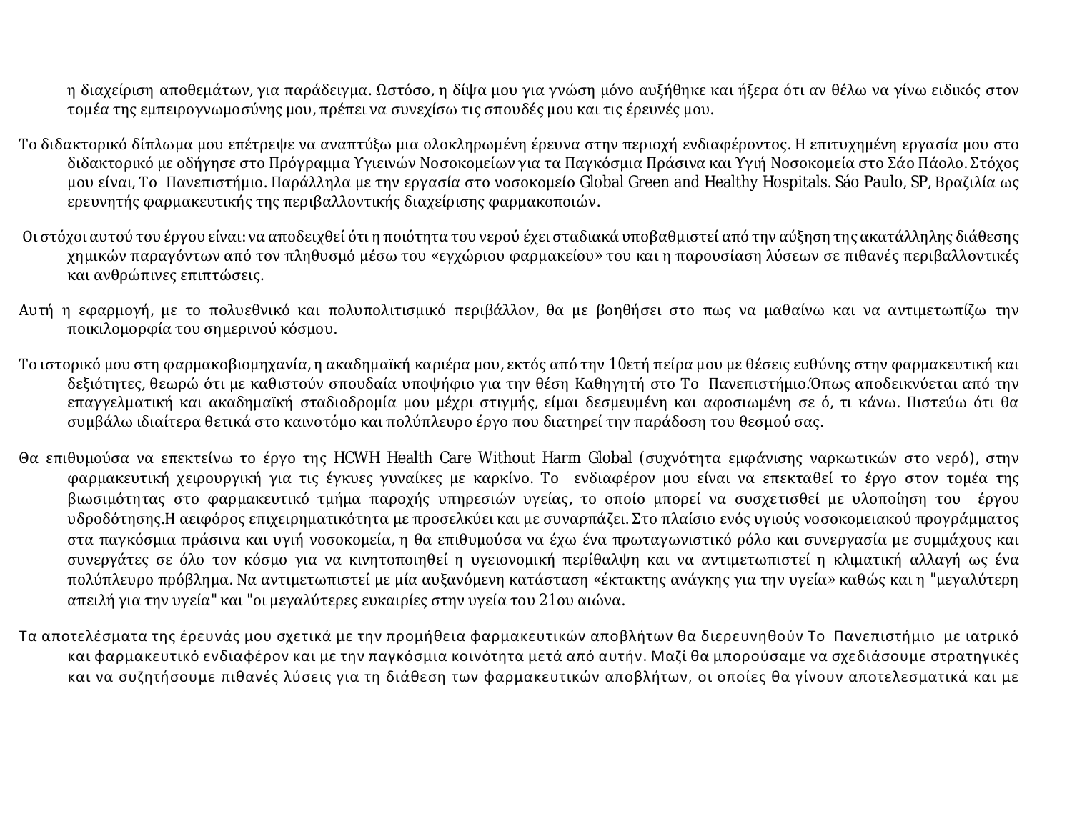η διαχείριση αποθεμάτων, για παράδειγμα. Ωστόσο, η δίψα μου για γνώση μόνο αυξήθηκε και ήξερα ότι αν θέλω να γίνω ειδικός στον τομέα της εμπειρογνωμοσύνης μου, πρέπει να συνεχίσω τις σπουδές μου και τις έρευνές μου.

- Το διδακτορικό δίπλωμα μου επέτρεψε να αναπτύξω μια ολοκληρωμένη έρευνα στην περιοχή ενδιαφέροντος. Η επιτυχημένη εργασία μου στο διδακτορικό με οδήγησε στο Πρόγραμμα Υγιεινών Νοσοκομείων για τα Παγκόσμια Πράσινα και Υγιή Νοσοκομεία στο Σάο Πάολο. Στόχος μου είναι, Το Πανεπιστήμιο. Παράλληλα με την εργασία στο νοσοκομείο Global Green and Healthy Hospitals. Sáo Paulo, SP, Βραζιλία ως ερευνητής φαρμακευτικής της περιβαλλοντικής διαχείρισης φαρμακοποιών.
- Οι στόχοι αυτού του έργου είναι: να αποδειχθεί ότι η ποιότητα του νερού έχει σταδιακά υποβαθμιστεί από την αύξηση της ακατάλληλης διάθεσης χημικών παραγόντων από τον πληθυσμό μέσω του «εγχώριου φαρμακείου» του και η παρουσίαση λύσεων σε πιθανές περιβαλλοντικές και ανθρώπινες επιπτώσεις.
- Αυτή η εφαρμογή, με το πολυεθνικό και πολυπολιτισμικό περιβάλλον, θα με βοηθήσει στο πως να μαθαίνω και να αντιμετωπίζω την ποικιλομορφία του σημερινού κόσμου.
- Το ιστορικό μου στη φαρμακοβιομηχανία, η ακαδημαϊκή καριέρα μου, εκτός από την 10ετή πείρα μου με θέσεις ευθύνης στην φαρμακευτική και δεξιότητες, θεωρώ ότι με καθιστούν σπουδαία υποψήφιο για την θέση Καθηγητή στο Το Πανεπιστήμιο.Όπως αποδεικνύεται από την επαγγελματική και ακαδημαϊκή σταδιοδρομία μου μέχρι στιγμής, είμαι δεσμευμένη και αφοσιωμένη σε ό, τι κάνω. Πιστεύω ότι θα συμβάλω ιδιαίτερα θετικά στο καινοτόμο και πολύπλευρο έργο που διατηρεί την παράδοση του θεσμού σας.
- Θα επιθυμούσα να επεκτείνω το έργο της HCWH Health Care Without Harm Global (συχνότητα εμφάνισης ναρκωτικών στο νερό), στην φαρμακευτική χειρουργική για τις έγκυες γυναίκες με καρκίνο. Το ενδιαφέρον μου είναι να επεκταθεί το έργο στον τομέα της βιωσιμότητας στο φαρμακευτικό τμήμα παροχής υπηρεσιών υγείας, το οποίο μπορεί να συσχετισθεί με υλοποίηση του έργου υδροδότησης.Η αειφόρος επιχειρηματικότητα με προσελκύει και με συναρπάζει. Στο πλαίσιο ενός υγιούς νοσοκομειακού προγράμματος στα παγκόσμια πράσινα και υγιή νοσοκομεία, η θα επιθυμούσα να έχω ένα πρωταγωνιστικό ρόλο και συνεργασία με συμμάχους και συνεργάτες σε όλο τον κόσμο για να κινητοποιηθεί η υγειονομική περίθαλψη και να αντιμετωπιστεί η κλιματική αλλαγή ως ένα πολύπλευρο πρόβλημα. Να αντιμετωπιστεί με μία αυξανόμενη κατάσταση «έκτακτης ανάγκης για την υγεία» καθώς και η "μεγαλύτερη απειλή για την υγεία" και "οι μεγαλύτερες ευκαιρίες στην υγεία του 21ου αιώνα.
- Τα αποτελέσματα της έρευνάς μου σχετικά με την προμήθεια φαρμακευτικών αποβλήτων θα διερευνηθούν Το Πανεπιστήμιο με ιατρικό και φαρμακευτικό ενδιαφέρον και με την παγκόσμια κοινότητα μετά από αυτήν. Μαζί θα μπορούσαμε να σχεδιάσουμε στρατηγικές και να συζητήσουμε πιθανές λύσεις για τη διάθεση των φαρμακευτικών αποβλήτων, οι οποίες θα γίνουν αποτελεσματικά και με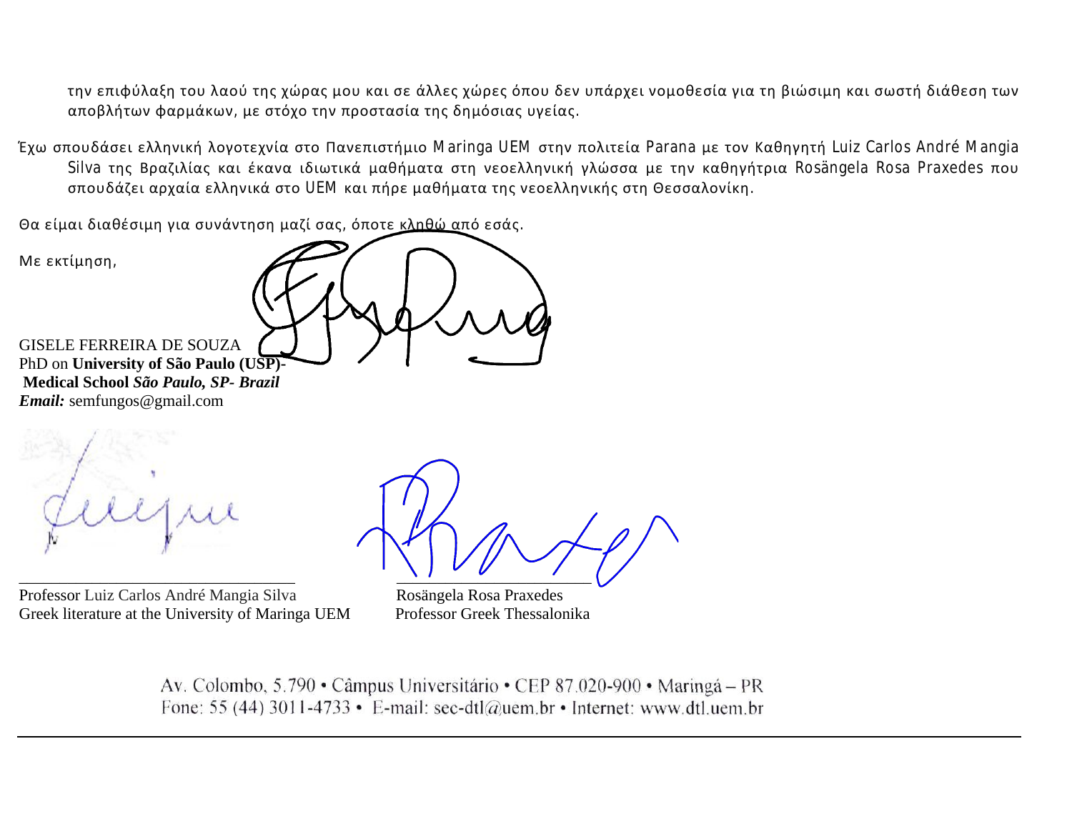την επιφύλαξη του λαού της χώρας μου και σε άλλες χώρες όπου δεν υπάρχει νομοθεσία για τη βιώσιμη και σωστή διάθεση των αποβλήτων φαρμάκων, με στόχο την προστασία της δημόσιας υγείας.

Έχω σπουδάσει ελληνική λογοτεχνία στο Πανεπιστήμιο Maringa UEM στην πολιτεία Parana με τον Καθηγητή Luiz Carlos André Mangia Silva της Βραζιλίας και έκανα ιδιωτικά μαθήματα στη νεοελληνική γλώσσα με την καθηγήτρια Rosängela Rosa Praxedes που σπουδάζει αρχαία ελληνικά στο UEM και πήρε μαθήματα της νεοελληνικής στη Θεσσαλονίκη.

Θα είμαι διαθέσιμη για συνάντηση μαζί σας, όποτε κληθώ από εσάς.

Με εκτίμηση, GISELE FERREIRA DE SOUZA PhD on **University of São Paulo (USP)- Medical School** *São Paulo, SP- Brazil* 

*Email:* semfungos@gmail.com



Professor Luiz Carlos André Mangia Silva Rosängela Rosa Praxedes Greek literature at the University of Maringa UEM Professor Greek Thessalonika

 $\frac{1}{2}$  ,  $\frac{1}{2}$  ,  $\frac{1}{2}$  ,  $\frac{1}{2}$  ,  $\frac{1}{2}$  ,  $\frac{1}{2}$  ,  $\frac{1}{2}$  ,  $\frac{1}{2}$ 

Av. Colombo, 5.790 • Câmpus Universitário • CEP 87.020-900 • Maringá – PR Fone: 55 (44) 3011-4733 • E-mail: sec-dtl@uem.br • Internet: www.dtl.uem.br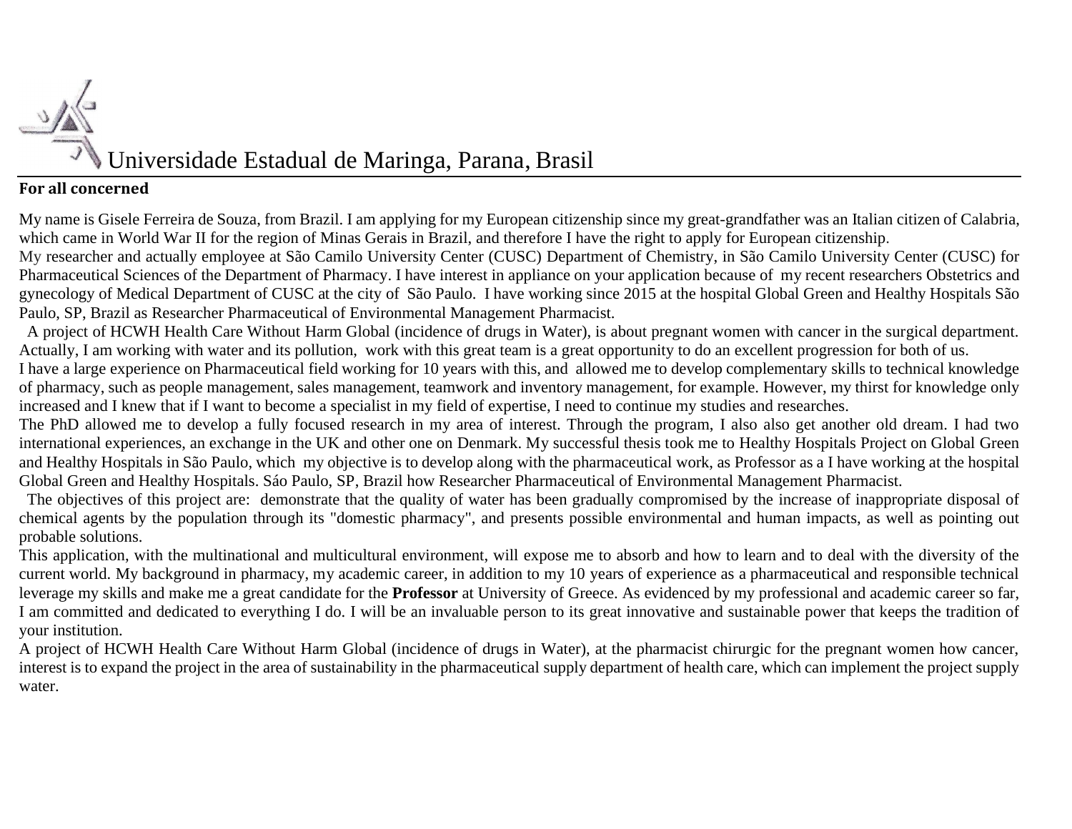

## **For all concerned**

My name is Gisele Ferreira de Souza, from Brazil. I am applying for my European citizenship since my great-grandfather was an Italian citizen of Calabria, which came in World War II for the region of Minas Gerais in Brazil, and therefore I have the right to apply for European citizenship.

My researcher and actually employee at São Camilo University Center (CUSC) Department of Chemistry, in São Camilo University Center (CUSC) for Pharmaceutical Sciences of the Department of Pharmacy. I have interest in appliance on your application because of my recent researchers Obstetrics and gynecology of Medical Department of CUSC at the city of São Paulo. I have working since 2015 at the hospital Global Green and Healthy Hospitals São Paulo, SP, Brazil as Researcher Pharmaceutical of Environmental Management Pharmacist.

 A project of HCWH Health Care Without Harm Global (incidence of drugs in Water), is about pregnant women with cancer in the surgical department. Actually, I am working with water and its pollution, work with this great team is a great opportunity to do an excellent progression for both of us.

I have a large experience on Pharmaceutical field working for 10 years with this, and allowed me to develop complementary skills to technical knowledge of pharmacy, such as people management, sales management, teamwork and inventory management, for example. However, my thirst for knowledge only increased and I knew that if I want to become a specialist in my field of expertise, I need to continue my studies and researches.

The PhD allowed me to develop a fully focused research in my area of interest. Through the program, I also also get another old dream. I had two international experiences, an exchange in the UK and other one on Denmark. My successful thesis took me to Healthy Hospitals Project on Global Green and Healthy Hospitals in São Paulo, which my objective is to develop along with the pharmaceutical work, as Professor as a I have working at the hospital Global Green and Healthy Hospitals. Sáo Paulo, SP, Brazil how Researcher Pharmaceutical of Environmental Management Pharmacist.

 The objectives of this project are: demonstrate that the quality of water has been gradually compromised by the increase of inappropriate disposal of chemical agents by the population through its "domestic pharmacy", and presents possible environmental and human impacts, as well as pointing out probable solutions.

This application, with the multinational and multicultural environment, will expose me to absorb and how to learn and to deal with the diversity of the current world. My background in pharmacy, my academic career, in addition to my 10 years of experience as a pharmaceutical and responsible technical leverage my skills and make me a great candidate for the **Professor** at University of Greece. As evidenced by my professional and academic career so far, I am committed and dedicated to everything I do. I will be an invaluable person to its great innovative and sustainable power that keeps the tradition of your institution.

A project of HCWH Health Care Without Harm Global (incidence of drugs in Water), at the pharmacist chirurgic for the pregnant women how cancer, interest is to expand the project in the area of sustainability in the pharmaceutical supply department of health care, which can implement the project supply water.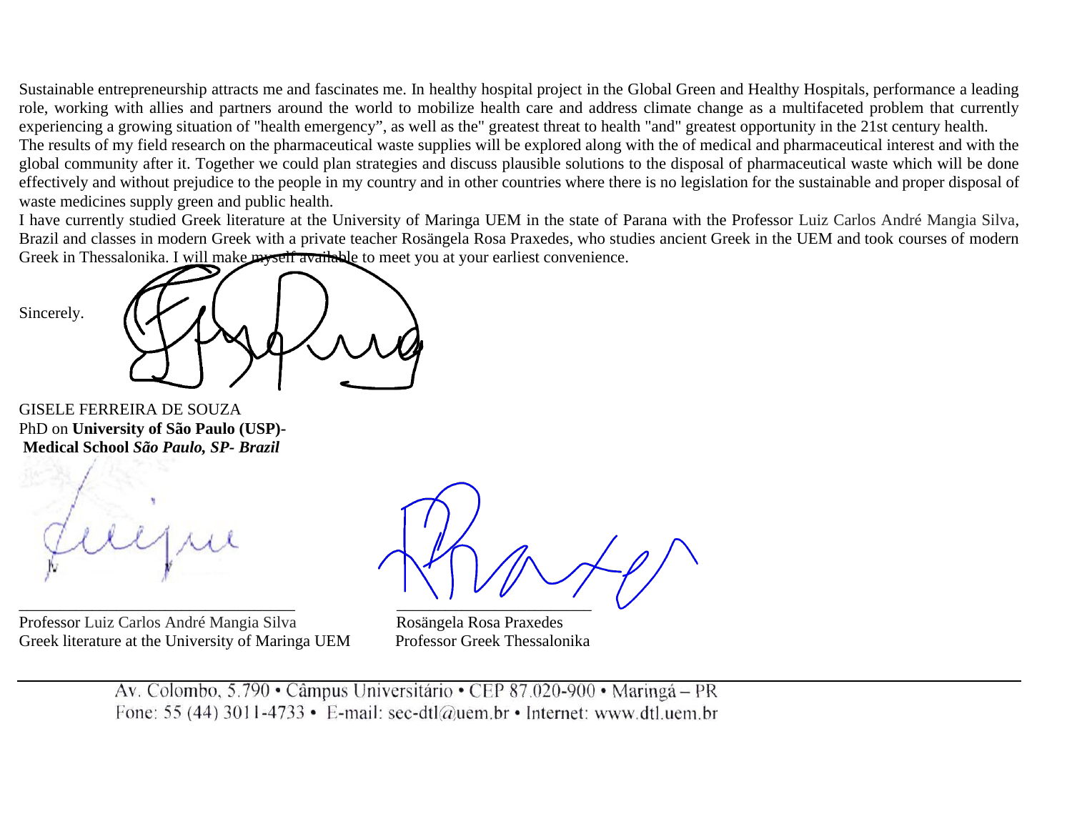Sustainable entrepreneurship attracts me and fascinates me. In healthy hospital project in the Global Green and Healthy Hospitals, performance a leading role, working with allies and partners around the world to mobilize health care and address climate change as a multifaceted problem that currently experiencing a growing situation of "health emergency", as well as the" greatest threat to health "and" greatest opportunity in the 21st century health. The results of my field research on the pharmaceutical waste supplies will be explored along with the of medical and pharmaceutical interest and with the

global community after it. Together we could plan strategies and discuss plausible solutions to the disposal of pharmaceutical waste which will be done effectively and without prejudice to the people in my country and in other countries where there is no legislation for the sustainable and proper disposal of waste medicines supply green and public health.

I have currently studied Greek literature at the University of Maringa UEM in the state of Parana with the Professor Luiz Carlos André Mangia Silva, Brazil and classes in modern Greek with a private teacher Rosängela Rosa Praxedes, who studies ancient Greek in the UEM and took courses of modern Greek in Thessalonika. I will make myself available to meet you at your earliest convenience.

GISELE FERREIRA DE SOUZA PhD on **University of São Paulo (USP)- Medical School** *São Paulo, SP- Brazil* 

Professor Luiz Carlos André Mangia Silva Rosängela Rosa Praxedes Greek literature at the University of Maringa UEM Professor Greek Thessalonika

 $\overline{\phantom{a}}$  , and the contribution of the contribution of  $\overline{\phantom{a}}$  , and  $\overline{\phantom{a}}$  , and  $\overline{\phantom{a}}$  , and  $\overline{\phantom{a}}$  , and  $\overline{\phantom{a}}$  , and  $\overline{\phantom{a}}$  , and  $\overline{\phantom{a}}$  , and  $\overline{\phantom{a}}$  , and  $\overline{\phantom{a}}$  , and

Av. Colombo, 5.790 • Câmpus Universitário • CEP 87.020-900 • Maringá – PR Fone: 55 (44) 3011-4733 • E-mail: sec-dtl@uem.br • Internet: www.dtl.uem.br

Sincerely.